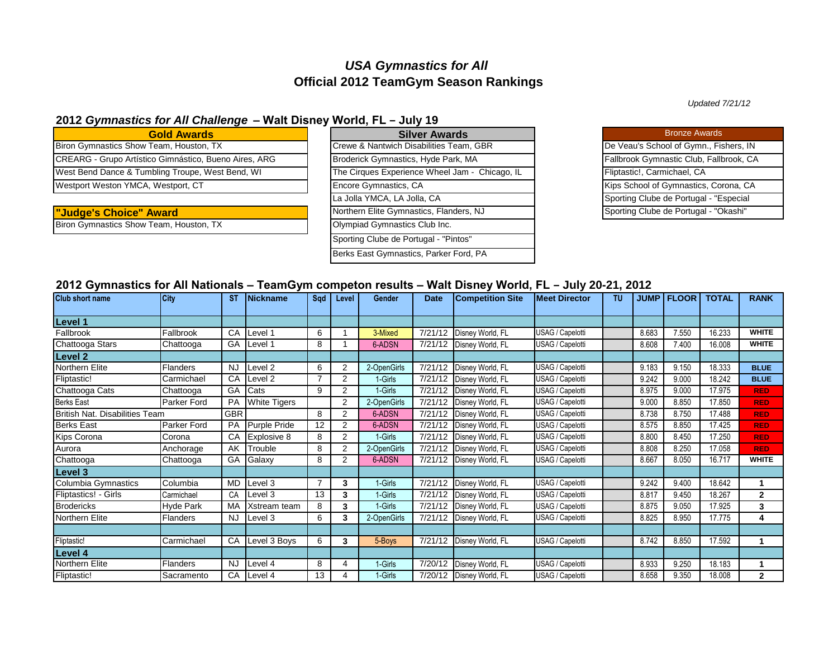# *USA Gymnastics for All* **Official 2012 TeamGym Season Rankings**

## **2012** *Gymnastics for All Challenge* **‒ Walt Disney World, FL ‒ July 19**

| <b>Gold Awards</b>                                    |
|-------------------------------------------------------|
| Biron Gymnastics Show Team, Houston, TX               |
| CREARG - Grupo Artístico Gimnástico, Bueno Aires, ARG |
| West Bend Dance & Tumbling Troupe, West Bend, WI      |
| Westport Weston YMCA, Westport, CT                    |
|                                                       |

**"Judge's Choice" Award** 

Biron Gymnastics Show Team, Houston, TX

| $\blacksquare$                                 |
|------------------------------------------------|
| <b>Silver Awards</b>                           |
| Crewe & Nantwich Disabilities Team, GBR        |
| Broderick Gymnastics, Hyde Park, MA            |
| The Cirques Experience Wheel Jam - Chicago, IL |
| Encore Gymnastics, CA                          |
| La Jolla YMCA, LA Jolla, CA                    |
| Northern Elite Gymnastics, Flanders, NJ        |
| Olympiad Gymnastics Club Inc.                  |
| Sporting Clube de Portugal - "Pintos"          |
| Berks East Gymnastics, Parker Ford, PA         |

| <b>Bronze Awards</b>                    |
|-----------------------------------------|
| De Veau's School of Gymn., Fishers, IN  |
| Fallbrook Gymnastic Club, Fallbrook, CA |
| Fliptastic!, Carmichael, CA             |
| Kips School of Gymnastics, Corona, CA   |
| Sporting Clube de Portugal - "Especial  |
| Sporting Clube de Portugal - "Okashi"   |

### **2012 Gymnastics for All Nationals ‒ TeamGym competon results ‒ Walt Disney World, FL ‒ July 20-21, 2012**

| <b>Club short name</b>                | <b>City</b>        | ST         | <b>INickname</b>    | Sad            | Level          | Gender      | <b>Date</b> | <b>Competition Site</b>  | <b>Meet Director</b> | TU |       | <b>JUMP I FLOOR</b> | <b>TOTAL</b> | <b>RANK</b>  |
|---------------------------------------|--------------------|------------|---------------------|----------------|----------------|-------------|-------------|--------------------------|----------------------|----|-------|---------------------|--------------|--------------|
|                                       |                    |            |                     |                |                |             |             |                          |                      |    |       |                     |              |              |
| Level 1                               |                    |            |                     |                |                |             |             |                          |                      |    |       |                     |              |              |
| Fallbrook                             | Fallbrook          | CA         | Level 1             | 6              |                | 3-Mixed     | 7/21/12     | Disney World, FL         | USAG / Capelotti     |    | 8.683 | 7.550               | 16.233       | <b>WHITE</b> |
| Chattooga Stars                       | Chattooga          | GA         | Level 1             | 8              |                | 6-ADSN      | 7/21/12     | Disney World, FL         | USAG / Capelotti     |    | 8.608 | 7.400               | 16.008       | <b>WHITE</b> |
| Level 2                               |                    |            |                     |                |                |             |             |                          |                      |    |       |                     |              |              |
| Northern Elite                        | <b>Flanders</b>    | <b>NJ</b>  | evel 2              | 6              | 2              | 2-OpenGirls | 7/21/12     | Disney World, FL         | USAG / Capelotti     |    | 9.183 | 9.150               | 18.333       | <b>BLUE</b>  |
| Fliptastic!                           | Carmichael         | CA         | evel <sub>2</sub>   | $\overline{7}$ | 2              | 1-Girls     | 7/21/12     | Disney World, FL         | USAG / Capelotti     |    | 9.242 | 9.000               | 18.242       | <b>BLUE</b>  |
| Chattooga Cats                        | Chattooga          | GA         | Cats                | 9              | $\overline{2}$ | 1-Girls     | 7/21/12     | Disney World, FL         | USAG / Capelotti     |    | 8.975 | 9.000               | 17.975       | <b>RED</b>   |
| <b>Berks East</b>                     | Parker Ford        | PA         | <b>White Tigers</b> |                | $\overline{2}$ | 2-OpenGirls | 7/21/12     | Disney World, FL         | USAG / Capelotti     |    | 9.000 | 8.850               | 17.850       | <b>RED</b>   |
| <b>British Nat. Disabilities Team</b> |                    | <b>GBR</b> |                     | 8              | $\overline{2}$ | 6-ADSN      | 7/21/12     | Disney World, FL         | USAG / Capelotti     |    | 8.738 | 8.750               | 17.488       | <b>RED</b>   |
| <b>Berks East</b>                     | <b>Parker Ford</b> | PA         | Purple Pride        | 12             | $\overline{2}$ | 6-ADSN      | 7/21/12     | Disney World, FL         | USAG / Capelotti     |    | 8.575 | 8.850               | 17.425       | <b>RED</b>   |
| Kips Corona                           | Corona             | CA         | Explosive 8         | 8              | $\overline{2}$ | 1-Girls     | 7/21/12     | Disney World, FL         | USAG / Capelotti     |    | 8.800 | 8.450               | 17.250       | <b>RED</b>   |
| Aurora                                | Anchorage          | AK         | Trouble             | 8              | 2              | 2-OpenGirls | 7/21/12     | Disney World, FL         | USAG / Capelotti     |    | 8.808 | 8.250               | 17.058       | <b>RED</b>   |
| Chattooga                             | Chattooga          | GA         | Galaxy              | 8              | 2              | 6-ADSN      | 7/21/12     | Disney World, FL         | USAG / Capelotti     |    | 8.667 | 8.050               | 16.717       | <b>WHITE</b> |
| <b>Level 3</b>                        |                    |            |                     |                |                |             |             |                          |                      |    |       |                     |              |              |
| Columbia Gymnastics                   | Columbia           | <b>MD</b>  | Level 3             | 7              | 3              | 1-Girls     | 7/21/12     | Disney World, FL         | USAG / Capelotti     |    | 9.242 | 9.400               | 18.642       |              |
| Fliptastics! - Girls                  | Carmichael         | CA         | Level 3             | 13             | 3              | 1-Girls     | 7/21/12     | Disney World, FL         | USAG / Capelotti     |    | 8.817 | 9.450               | 18.267       | $\mathbf{2}$ |
| <b>Brodericks</b>                     | Hyde Park          | MA         | Xstream team        | 8              | 3              | 1-Girls     | 7/21/12     | Disney World, FL         | USAG / Capelotti     |    | 8.875 | 9.050               | 17.925       | 3            |
| Northern Elite                        | <b>Flanders</b>    | <b>NJ</b>  | Level 3             | 6              | 3              | 2-OpenGirls | 7/21/12     | Disney World, FL         | USAG / Capelotti     |    | 8.825 | 8.950               | 17.775       | 4            |
|                                       |                    |            |                     |                |                |             |             |                          |                      |    |       |                     |              |              |
| Fliptastic!                           | Carmichael         | CA         | Level 3 Boys        | 6              | 3              | 5-Boys      | 7/21/12     | Disney World, FL         | USAG / Capelotti     |    | 8.742 | 8.850               | 17.592       | 1            |
| Level 4                               |                    |            |                     |                |                |             |             |                          |                      |    |       |                     |              |              |
| Northern Elite                        | <b>Flanders</b>    | <b>NJ</b>  | Level 4             | 8              | 4              | 1-Girls     | 7/20/12     | Disney World, FL         | USAG / Capelotti     |    | 8.933 | 9.250               | 18.183       |              |
| Fliptastic!                           | Sacramento         | CA         | Level 4             | 13             | 4              | 1-Girls     |             | 7/20/12 Disney World, FL | USAG / Capelotti     |    | 8.658 | 9.350               | 18.008       | $\mathbf{2}$ |

*Updated 7/21/12*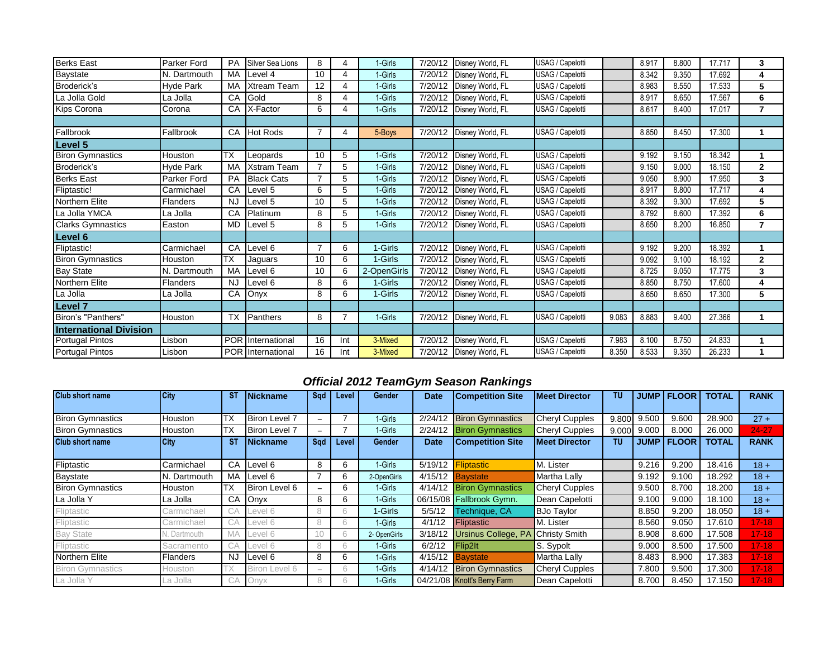| <b>Berks East</b>             | Parker Ford        | PA         | <b>Silver Sea Lions</b> | 8              | 4   | 1-Girls     | 7/20/12 | Disney World, FL         | USAG / Capelotti |       | 8.917 | 8.800 | 17.717 | 3              |
|-------------------------------|--------------------|------------|-------------------------|----------------|-----|-------------|---------|--------------------------|------------------|-------|-------|-------|--------|----------------|
| Baystate                      | N. Dartmouth       | MA         | evel 4                  | 10             | 4   | 1-Girls     | 7/20/12 | Disney World, FL         | USAG / Capelotti |       | 8.342 | 9.350 | 17.692 | 4              |
| Broderick's                   | <b>Hyde Park</b>   | MA         | <b>Xtream Team</b>      | 12             | 4   | 1-Girls     | 7/20/12 | Disney World, FL         | USAG / Capelotti |       | 8.983 | 8.550 | 17.533 | 5              |
| La Jolla Gold                 | La Jolla           | CA         | Gold                    | 8              | 4   | 1-Girls     | 7/20/12 | Disney World, FL         | USAG / Capelotti |       | 8.917 | 8.650 | 17.567 | 6              |
| Kips Corona                   | Corona             | CA         | X-Factor                | 6              | 4   | 1-Girls     | 7/20/12 | Disney World, FL         | USAG / Capelotti |       | 8.617 | 8.400 | 17.017 | 7              |
|                               |                    |            |                         |                |     |             |         |                          |                  |       |       |       |        |                |
| Fallbrook                     | Fallbrook          | CA         | <b>Hot Rods</b>         | 7              | 4   | 5-Boys      | 7/20/12 | Disney World, FL         | USAG / Capelotti |       | 8.850 | 8.450 | 17.300 | 1              |
| Level 5                       |                    |            |                         |                |     |             |         |                          |                  |       |       |       |        |                |
| <b>Biron Gymnastics</b>       | Houston            | <b>TX</b>  | Leopards                | 10             | 5   | 1-Girls     | 7/20/12 | Disney World, FL         | USAG / Capelotti |       | 9.192 | 9.150 | 18.342 | 1              |
| Broderick's                   | <b>Hyde Park</b>   | MA         | Xstram Team             | $\overline{7}$ | 5   | 1-Girls     | 7/20/12 | Disney World, FL         | USAG / Capelotti |       | 9.150 | 9.000 | 18.150 | $\mathbf{2}$   |
| <b>Berks East</b>             | <b>Parker Ford</b> | PA         | <b>Black Cats</b>       | 7              | 5   | 1-Girls     | 7/20/12 | Disney World, FL         | USAG / Capelotti |       | 9.050 | 8.900 | 17.950 | 3              |
| Fliptastic!                   | Carmichael         | CA         | evel 5                  | 6              | 5   | 1-Girls     | 7/20/12 | Disney World, FL         | USAG / Capelotti |       | 8.917 | 8.800 | 17.717 | 4              |
| <b>Northern Elite</b>         | <b>Flanders</b>    | <b>NJ</b>  | evel 5                  | 10             | 5   | 1-Girls     | 7/20/12 | Disney World, FL         | USAG / Capelotti |       | 8.392 | 9.300 | 17.692 | 5              |
| La Jolla YMCA                 | La Jolla           | CA         | Platinum                | 8              | 5   | 1-Girls     | 7/20/12 | Disney World, FL         | USAG / Capelotti |       | 8.792 | 8.600 | 17.392 | 6              |
| <b>Clarks Gymnastics</b>      | Easton             | <b>MD</b>  | Level 5                 | 8              | 5   | 1-Girls     | 7/20/12 | Disney World, FL         | USAG / Capelotti |       | 8.650 | 8.200 | 16.850 | $\overline{7}$ |
| Level 6                       |                    |            |                         |                |     |             |         |                          |                  |       |       |       |        |                |
| Fliptastic!                   | Carmichael         | CA         | evel 6                  | 7              | 6   | 1-Girls     | 7/20/12 | Disney World, FL         | USAG / Capelotti |       | 9.192 | 9.200 | 18.392 | 1              |
| <b>Biron Gymnastics</b>       | Houston            | <b>TX</b>  | Jaguars                 | 10             | 6   | 1-Girls     | 7/20/12 | Disney World, FL         | USAG / Capelotti |       | 9.092 | 9.100 | 18.192 | $\overline{2}$ |
| <b>Bay State</b>              | N. Dartmouth       | MA         | evel 6                  | 10             | 6   | 2-OpenGirls | 7/20/12 | Disney World, FL         | USAG / Capelotti |       | 8.725 | 9.050 | 17.775 | 3              |
| Northern Elite                | <b>Flanders</b>    | <b>NJ</b>  | evel 6                  | 8              | 6   | 1-Girls     | 7/20/12 | Disney World, FL         | USAG / Capelotti |       | 8.850 | 8.750 | 17.600 | 4              |
| La Jolla                      | La Jolla           | CA         | Onyx                    | 8              | 6   | 1-Girls     | 7/20/12 | Disney World, FL         | USAG / Capelotti |       | 8.650 | 8.650 | 17.300 | 5              |
| Level <sub>7</sub>            |                    |            |                         |                |     |             |         |                          |                  |       |       |       |        |                |
| Biron's "Panthers"            | Houston            | <b>TX</b>  | Panthers                | 8              | 7   | 1-Girls     | 7/20/12 | Disney World, FL         | USAG / Capelotti | 9.083 | 8.883 | 9.400 | 27.366 | 1              |
| <b>International Division</b> |                    |            |                         |                |     |             |         |                          |                  |       |       |       |        |                |
| Portugal Pintos               | Lisbon             | <b>POR</b> | International           | 16             | Int | 3-Mixed     | 7/20/12 | Disney World, FL         | USAG / Capelotti | 7.983 | 8.100 | 8.750 | 24.833 | 1              |
| <b>Portugal Pintos</b>        | Lisbon             |            | POR International       | 16             | Int | 3-Mixed     |         | 7/20/12 Disney World, FL | USAG / Capelotti | 8.350 | 8.533 | 9.350 | 26.233 | 1              |

## *Official 2012 TeamGym Season Rankings*

| <b>Club short name</b>  | City         | ST        | <b>INickname</b>     | Sad                      | Level | <b>Gender</b> | <b>Date</b> | <b>Competition Site</b>     | <b>IMeet Director</b> | TU    | <b>JUMP</b> | <b>FLOOR</b>        | <b>TOTAL</b> | <b>RANK</b> |
|-------------------------|--------------|-----------|----------------------|--------------------------|-------|---------------|-------------|-----------------------------|-----------------------|-------|-------------|---------------------|--------------|-------------|
|                         |              |           |                      |                          |       |               |             |                             |                       |       |             |                     |              |             |
| <b>Biron Gymnastics</b> | Houston      | ТX        | Biron Level 7        |                          |       | 1-Girls       | 2/24/12     | <b>Biron Gymnastics</b>     | Cheryl Cupples        | 9.800 | 9.500       | 9.600               | 28,900       | $27 +$      |
| <b>Biron Gymnastics</b> | Houston      | ТX        | <b>Biron Level 7</b> | ۳                        |       | 1-Girls       | 2/24/12     | <b>Biron Gymnastics</b>     | <b>Cheryl Cupples</b> | 9.000 | 9.000       | 8.000               | 26.000       | 24-27       |
| <b>Club short name</b>  | <b>City</b>  | <b>ST</b> | <b>Nickname</b>      | Sad                      | Level | Gender        | <b>Date</b> | <b>Competition Site</b>     | <b>Meet Director</b>  | TU    |             | <b>JUMP   FLOOR</b> | <b>TOTAL</b> | <b>RANK</b> |
|                         |              |           |                      |                          |       |               |             |                             |                       |       |             |                     |              |             |
| Fliptastic              | Carmichael   | CA        | Level 6              | 8                        |       | 1-Girls       | 5/19/12     | <b>Fliptastic</b>           | M. Lister             |       | 9.216       | 9.200               | 18.416       | $18 +$      |
| Baystate                | N. Dartmouth | MA        | Level 6              |                          | 6     | 2-OpenGirls   |             | 4/15/12 <b>Baystate</b>     | Martha Lally          |       | 9.192       | 9.100               | 18.292       | $18 +$      |
| <b>Biron Gymnastics</b> | Houston      | TХ        | Biron Level 6        | ۳                        | 6     | 1-Girls       |             | 4/14/12 Biron Gymnastics    | <b>Cheryl Cupples</b> |       | 9.500       | 8.700               | 18.200       | $18 +$      |
| La Jolla Y              | La Jolla     | CA        | Onyx                 | 8                        | h     | 1-Girls       |             | 06/15/08 Fallbrook Gymn.    | Dean Capelotti        |       | 9.100       | 9.000               | 18.100       | $18 +$      |
| Fliptastic              | Carmichael   | CA        | evel 6               | 8                        | 6.    | 1-Girls       | 5/5/12      | Technique, CA               | <b>BJo Taylor</b>     |       | 8.850       | 9.200               | 18.050       | $18 +$      |
| Fliptastic              | Carmichael   | CА        | evel 6.              | 8                        |       | 1-Girls       | 4/1/12      | <b>Fliptastic</b>           | M. Lister             |       | 8.560       | 9.050               | 17.610       | $17 - 18$   |
| <b>Bay State</b>        | N. Dartmouth | MA        | evel 6               | 10                       |       | 2- OpenGirls  | 3/18/12     | <b>Ursinus College, PA</b>  | <b>Christy Smith</b>  |       | 8.908       | 8.600               | 17.508       | $17 - 18$   |
| Fliptastic              | Sacramento   | CA        | evel 6               | 8                        | 6.    | 1-Girls       | 6/2/12      | Flip2lt                     | S. Sypolt             |       | 9.000       | 8.500               | 17.500       | $17 - 18$   |
| Northern Elite          | Flanders     | <b>NJ</b> | Level 6              | 8                        | 6     | 1-Girls       |             | $4/15/12$ Baystate          | Martha Lally          |       | 8.483       | 8.900               | 17.383       | $17 - 18$   |
| <b>Biron Gymnastics</b> | Houston      | 'X        | Biron Level 6        | $\overline{\phantom{a}}$ | h     | 1-Girls       | 4/14/12     | <b>Biron Gymnastics</b>     | Cheryl Cupples        |       | 7.800       | 9.500               | 17.300       | $17 - 18$   |
| La Jolla Y              | La Jolla     | UА        | Onvx                 | 8                        |       | 1-Girls       |             | 04/21/08 Knott's Berry Farm | Dean Capelotti        |       | 8.700       | 8.450               | 17.150       | $17 - 18$   |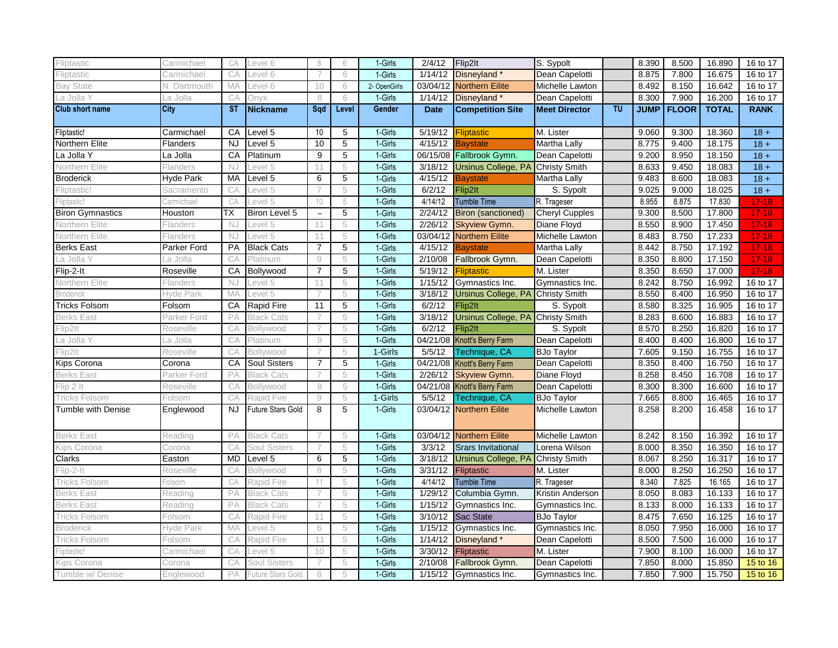| Fliptastic                | Carmichael              | CA        | evel 6                   | 8                        | 6     | 1-Girls      | 2/4/12      | Flip2lt                                  | S. Sypolt             |                                   | 8.390       | 8.500        | 16.890       | 16 to 17              |
|---------------------------|-------------------------|-----------|--------------------------|--------------------------|-------|--------------|-------------|------------------------------------------|-----------------------|-----------------------------------|-------------|--------------|--------------|-----------------------|
| Fliptastic                | Carmichael              | CA        | evel 6                   | 7                        | 6     | 1-Girls      | 1/14/12     | Disneyland*                              | Dean Capelotti        |                                   | 8.875       | 7.800        | 16.675       | 16 to 17              |
| <b>Bay State</b>          | N. Dartmouth            | MA        | evel 6                   | 10                       | 6     | 2- OpenGirls | 03/04/12    | <b>Northern Eilite</b>                   | Michelle Lawton       |                                   | 8.492       | 8.150        | 16.642       | 16 to 17              |
| La Jolla Y                | La Jolla                | CA        | Jnvx                     | 8                        | 6     | 1-Girls      | 1/14/12     | Disneyland*                              | Dean Capelotti        |                                   | 8.300       | 7.900        | 16.200       | 16 to 17              |
| <b>Club short name</b>    | City                    | <b>ST</b> | <b>Nickname</b>          | Sad                      | Level | Gender       | <b>Date</b> | <b>Competition Site</b>                  | <b>Meet Director</b>  | $\overline{\mathsf{T}}\mathsf{U}$ | <b>JUMP</b> | <b>FLOOR</b> | <b>TOTAL</b> | <b>RANK</b>           |
| Fliptastic!               | Carmichael              | CA        | evel 5                   | 10                       | 5     | 1-Girls      | 5/19/12     | <b>Fliptastic</b>                        | M. Lister             |                                   | 9.060       | 9.300        | 18.360       | $18 +$                |
| Northern Elite            | Flanders                | <b>NJ</b> | Level 5                  | 10                       | 5     | 1-Girls      | 4/15/12     | <b>Baystate</b>                          | Martha Lally          |                                   | 8.775       | 9.400        | 18.175       | $18 +$                |
| La Jolla Y                | La Jolla                | CA        | Platinum                 | 9                        | 5     | 1-Girls      |             | 06/15/08 Fallbrook Gymn.                 | Dean Capelotti        |                                   | 9.200       | 8.950        | 18.150       | $18 +$                |
| Northern Elite            | Flanders                | NJ        | Level 5                  | 11                       | 5     | 1-Girls      | 3/18/12     | <b>Ursinus College, PA</b>               | <b>Christy Smith</b>  |                                   | 8.633       | 9.450        | 18.083       | $18 +$                |
| <b>Broderick</b>          | Hyde Park               | MA        | Level 5                  | 6                        | 5     | 1-Girls      | 4/15/12     | <b>Baystate</b>                          | Martha Lally          |                                   | 9.483       | 8.600        | 18.083       | $18 +$                |
| Fliptastic!               | Sacramento              | CА        | evel 5                   |                          | 5     | 1-Girls      | 6/2/12      | Flip2lt                                  | S. Sypolt             |                                   | 9.025       | 9.000        | 18.025       | $18 +$                |
| Fliptastic                | Carmichael              | CA        | evel 5                   | 10                       | 5     | 1-Girls      | 4/14/12     | <b>Tumble Time</b>                       | R. Trageser           |                                   | 8.955       | 8.875        | 17.830       | $17 - 18$             |
| <b>Biron Gymnastics</b>   | Houston                 | ТX        | Biron Level 5            | $\overline{\phantom{0}}$ | 5     | 1-Girls      | 2/24/12     | <b>Biron (sanctioned)</b>                | <b>Cheryl Cupples</b> |                                   | 9.300       | 8.500        | 17.800       | $17 - 18$             |
| Northern Elite            | Flanders                | NJ        | evel 5                   | 11                       | 5     | 1-Girls      | 2/26/12     | <b>Skyview Gymn.</b>                     | Diane Floyd           |                                   | 8.550       | 8.900        | 17.450       | $17 - 18$             |
| Northern Elite            | <b>Flanders</b>         | <b>NJ</b> | _evel 5                  | 11                       | 5     | 1-Girls      | 03/04/12    | <b>Northern Eilite</b>                   | Michelle Lawton       |                                   | 8.483       | 8.750        | 17.233       | $17 - 18$             |
| <b>Berks East</b>         | Parker Ford             | <b>PA</b> | <b>Black Cats</b>        | $\overline{7}$           | 5     | 1-Girls      | 4/15/12     | Bavstate                                 | Martha Lally          |                                   | 8.442       | 8.750        | 17.192       | $17 - 18$             |
| La Jolla Y                | La Jolla                | CА        | Platinum                 | $\Theta$                 | 5     | 1-Girls      | 2/10/08     | Fallbrook Gymn.                          | Dean Capelotti        |                                   | 8.350       | 8.800        | 17.150       | $17 - 18$             |
| Flip-2-It                 | Roseville               | CA        | Bollywood                | $\overline{7}$           | 5     | 1-Girls      | 5/19/12     | Fliptastic                               | M. Lister             |                                   | 8.350       | 8.650        | 17.000       | $17 - 18$             |
| Northern Elite            | Flanders                | NJ        | _evel 5                  | 11                       | 5     | 1-Girls      | 1/15/12     | Gymnastics Inc.                          | Gymnastics Inc.       |                                   | 8.242       | 8.750        | 16.992       | 16 to 17              |
| Broderick                 | Hyde Park               | MA        | Level 5                  |                          | 5     | 1-Girls      | 3/18/12     | Ursinus College, PA Christy Smith        |                       |                                   | 8.550       | 8.400        | 16.950       | 16 to 17              |
| <b>Tricks Folsom</b>      | Folsom                  | CA        | <b>Rapid Fire</b>        | 11                       | 5     | 1-Girls      | 6/2/12      | Flip2lt                                  | S. Sypolt             |                                   | 8.580       | 8.325        | 16.905       | $\overline{16}$ to 17 |
| <b>Berks East</b>         | Parker Ford             | PA        | <b>Black Cats</b>        | 7                        | 5     | 1-Girls      | 3/18/12     | <b>Ursinus College, PA Christy Smith</b> |                       |                                   | 8.283       | 8.600        | 16.883       | 16 to 17              |
| Flip2lt                   | Roseville               | CA        | Bollywood                | $\overline{7}$           | 5     | 1-Girls      | 6/2/12      | Flip2lt                                  | S. Sypolt             |                                   | 8.570       | 8.250        | 16.820       | 16 to 17              |
| La Jolla Y                | La Jolla                | CA        | Platinum                 | $\mathcal{G}% _{0}$      | 5     | 1-Girls      | 04/21/08    | Knott's Berry Farm                       | Dean Capelotti        |                                   | 8.400       | 8.400        | 16.800       | 16 to 17              |
| Flip2lt                   | Roseville               | CA        | Bollywood                | 7                        | 5     | 1-Girls      | 5/5/12      | Technique, CA                            | <b>BJo Taylor</b>     |                                   | 7.605       | 9.150        | 16.755       | 16 to 17              |
| Kips Corona               | Corona                  | CA        | <b>Soul Sisters</b>      | $\overline{7}$           | 5     | 1-Girls      |             | 04/21/08 Knott's Berry Farm              | Dean Capelotti        |                                   | 8.350       | 8.400        | 16.750       | 16 to 17              |
| Berks East                | <sup>P</sup> arker Ford | PA        | <b>Black Cats</b>        |                          | 5     | 1-Girls      | 2/26/12     | <b>Skyview Gymn.</b>                     | Diane Floyd           |                                   | 8.258       | 8.450        | 16.708       | 16 to 17              |
| Flip 2 It                 | Roseville               | CA        | Bollywood                | 8                        | 5     | 1-Girls      |             | 04/21/08 Knott's Berry Farm              | Dean Capelotti        |                                   | 8.300       | 8.300        | 16.600       | 16 to 17              |
| Tricks Folsom             | Folsom                  | CA        | Rapid Fire               | 9                        | 5     | 1-Girls      | 5/5/12      | <b>Technique, CA</b>                     | <b>BJo Taylor</b>     |                                   | 7.665       | 8.800        | 16.465       | 16 to 17              |
| <b>Tumble with Denise</b> | Englewood               | <b>NJ</b> | <b>Future Stars Gold</b> | 8                        | 5     | 1-Girls      |             | 03/04/12 Northern Eilite                 | Michelle Lawton       |                                   | 8.258       | 8.200        | 16.458       | 16 to 17              |
| <b>Berks East</b>         | Reading                 | PA        | <b>Black Cats</b>        | 7                        | 5     | 1-Girls      |             | 03/04/12 Northern Eilite                 | Michelle Lawton       |                                   | 8.242       | 8.150        | 16.392       | 16 to 17              |
| Kips Corona               | Corona                  | CA        | Soul Sisters             | 7                        | 5     | 1-Girls      | 3/3/12      | <b>Srars Invitational</b>                | Lorena Wilson         |                                   | 8.000       | 8.350        | 16.350       | 16 to 17              |
| <b>Clarks</b>             | Easton                  | <b>MD</b> | Level 5                  | 6                        | 5     | 1-Girls      | 3/18/12     | Ursinus College, PA                      | <b>Christy Smith</b>  |                                   | 8.067       | 8.250        | 16.317       | 16 to 17              |
| Flip-2-lt                 | Roseville               | CА        | Bollywood                | 8                        | 5     | 1-Girls      | 3/31/12     | Fliptastic                               | M. Lister             |                                   | 8.000       | 8.250        | 16.250       | 16 to 17              |
| Tricks Folsom             | Folsom                  | CA        | Rapid Fire               | 11                       | 5     | 1-Girls      | 4/14/12     | <b>Tumble Time</b>                       | R. Trageser           |                                   | 8.340       | 7.825        | 16.165       | 16 to 17              |
| <b>Berks East</b>         | Readinc                 | PA        | Black Cats               |                          | 5     | 1-Girls      | 1/29/12     | Columbia Gymn.                           | Kristin Anderson      |                                   | 8.050       | 8.083        | 16.133       | 16 to 17              |
| <b>Berks East</b>         | Reading                 | PA        | Black<br>Cats            | 7                        | 5     | 1-Girls      | 1/15/12     | Gymnastics Inc.                          | Gymnastics Inc.       |                                   | 8.133       | 8.000        | 16.133       | 16 to 17              |
| <b>Tricks Folsom</b>      | Folsom                  | CA        | Rapid Fire               | 11                       | 5     | 1-Girls      | 3/10/12     | Sac State                                | <b>BJo Taylor</b>     |                                   | 8.475       | 7.650        | 16.125       | 16 to 17              |
| <b>Broderick</b>          | Hyde Park               | MA        | _evel 5                  | 6                        | 5     | 1-Girls      | 1/15/12     | Gymnastics Inc.                          | Gymnastics Inc.       |                                   | 8.050       | 7.950        | 16.000       | 16 to 17              |
| Tricks Folsom             | <sup>:</sup> olsom      | CA        | Rapid Fire               | 11                       | 5     | 1-Girls      | 1/14/12     | Disneyland*                              | Dean Capelotti        |                                   | 8.500       | 7.500        | 16.000       | 16 to 17              |
| Fliptastic!               | Carmichael              | CA        | evel 5                   | 10                       | 5     | 1-Girls      | 3/30/12     | Fliptastic                               | M. Lister             |                                   | 7.900       | 8.100        | 16.000       | 16 to 17              |
| Kips Corona               | Corona                  | CA        | Soul Sisters             | 7                        | 5     | 1-Girls      | 2/10/08     | Fallbrook Gymn.                          | Dean Capelotti        |                                   | 7.850       | 8.000        | 15.850       | 15 to 16              |
| Tumble w/ Denise          | Englewood               | PA        | Future Stars Gold        | 8                        | 5     | 1-Girls      |             | 1/15/12 Gymnastics Inc.                  | Gymnastics Inc.       |                                   | 7.850       | 7.900        | 15.750       | 15 to 16              |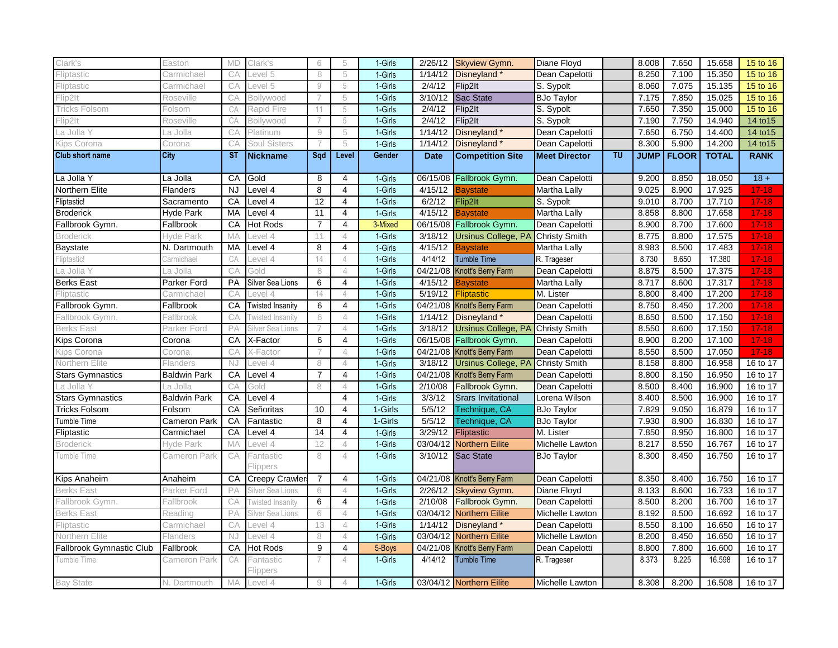| Clark's                  | Easton              | <b>MD</b> | Clark's                 | 6              | 5              | 1-Girls | 2/26/12     | <b>Skyview Gymn.</b>                     | Diane Floyd          |           | 8.008       | 7.650        | 15.658       | 15 to 16    |
|--------------------------|---------------------|-----------|-------------------------|----------------|----------------|---------|-------------|------------------------------------------|----------------------|-----------|-------------|--------------|--------------|-------------|
| Fliptastic               | Carmichael          | CА        | Level 5                 | 8              | 5              | 1-Girls | 1/14/12     | Disneyland*                              | Dean Capelotti       |           | 8.250       | 7.100        | 15.350       | 15 to 16    |
| Fliptastic               | Carmichael          | CA        | Level 5                 | $\overline{Q}$ | 5              | 1-Girls | 2/4/12      | Flip2It                                  | S. Sypolt            |           | 8.060       | 7.075        | 15.135       | 15 to 16    |
| Flip2lt                  | Roseville           | СA        | Bollywood               |                | 5              | 1-Girls | 3/10/12     | Sac State                                | <b>BJo Taylor</b>    |           | 7.175       | 7.850        | 15.025       | 15 to 16    |
| Tricks Folsom            | Folsom              | CA        | Rapid Fire              |                | 5              | 1-Girls | 2/4/12      | Flip2lt                                  | S. Sypolt            |           | 7.650       | 7.350        | 15.000       | 15 to 16    |
| ⊢lip2lt                  | Roseville           | CA        | Bollywood               |                | 5              | 1-Girls | 2/4/12      | Flip2lt                                  | S. Sypolt            |           | 7.190       | 7.750        | 14.940       | 14 to 15    |
| La Jolla Y               | La Jolla            | CA        | Platinum                | 9              | 5              | 1-Girls | 1/14/12     | Disneyland <sup>*</sup>                  | Dean Capelotti       |           | 7.650       | 6.750        | 14.400       | 14 to 15    |
| Kips Corona              | Corona              | CА        | Soul Sisters            |                | 5              | 1-Girls | 1/14/12     | Disneyland*                              | Dean Capelotti       |           | 8.300       | 5.900        | 14.200       | 14 to 15    |
| <b>Club short name</b>   | City                | <b>ST</b> | Nickname                | Sqd            | Level          | Gender  | <b>Date</b> | <b>Competition Site</b>                  | <b>Meet Director</b> | <b>TU</b> | <b>JUMP</b> | <b>FLOOR</b> | <b>TOTAL</b> | <b>RANK</b> |
| La Jolla Y               | La Jolla            | CA        | Gold                    | 8              | 4              | 1-Girls | 06/15/08    | Fallbrook Gymn.                          | Dean Capelotti       |           | 9.200       | 8.850        | 18.050       | $18 +$      |
| Northern Elite           | Flanders            | <b>NJ</b> | Level 4                 | 8              | $\overline{4}$ | 1-Girls | 4/15/12     | <b>Baystate</b>                          | Martha Lally         |           | 9.025       | 8.900        | 17.925       | $17 - 18$   |
| Fliptastic!              | Sacramento          | CA        | Level 4                 | 12             | 4              | 1-Girls | 6/2/12      | Flip2lt                                  | S. Sypolt            |           | 9.010       | 8.700        | 17.710       | $17 - 18$   |
| <b>Broderick</b>         | Hyde Park           | <b>MA</b> | Level 4                 | 11             | 4              | 1-Girls | 4/15/12     | <b>Baystate</b>                          | Martha Lally         |           | 8.858       | 8.800        | 17.658       | $17 - 18$   |
| Fallbrook Gymn.          | Fallbrook           | CA        | Hot Rods                | $\overline{7}$ | $\overline{4}$ | 3-Mixed | 06/15/08    | Fallbrook Gymn.                          | Dean Capelotti       |           | 8.900       | 8.700        | 17.600       | $17 - 18$   |
| <b>Broderick</b>         | Hyde Park           | MA        | _evel 4                 | 11             | $\overline{4}$ | 1-Girls | 3/18/12     | Ursinus College, PA Christy Smith        |                      |           | 8.775       | 8.800        | 17.575       | $17 - 18$   |
| Baystate                 | N. Dartmouth        | MA        | Level 4                 | 8              | 4              | 1-Girls | 4/15/12     | <b>Baystate</b>                          | Martha Lally         |           | 8.983       | 8.500        | 17.483       | $17-18$     |
| Fliptastic!              | Carmichael          | CA        | Level 4                 | 14             | $\overline{4}$ | 1-Girls | 4/14/12     | <b>Tumble Time</b>                       | R. Trageser          |           | 8.730       | 8.650        | 17.380       | $17-18$     |
| La Jolla Y               | La Jolla            | CA        | Gold                    | 8              | $\overline{4}$ | 1-Girls |             | 04/21/08 Knott's Berry Farm              | Dean Capelotti       |           | 8.875       | 8.500        | 17.375       | $17 - 18$   |
| <b>Berks East</b>        | Parker Ford         | PA        | Silver Sea Lions        | 6              | 4              | 1-Girls | 4/15/12     | <b>Baystate</b>                          | Martha Lally         |           | 8.717       | 8.600        | 17.317       | $17 - 18$   |
| Fliptastic               | Carmichael          | CА        | evel 4                  | 14             | $\overline{4}$ | 1-Girls | 5/19/12     | <b>Fliptastic</b>                        | M. Lister            |           | 8.800       | 8.400        | 17.200       | $17 - 18$   |
| Fallbrook Gymn.          | Fallbrook           | CA        | <b>Twisted Insanity</b> | 6              | 4              | 1-Girls |             | 04/21/08 Knott's Berry Farm              | Dean Capelotti       |           | 8.750       | 8.450        | 17.200       | $17 - 18$   |
| Fallbrook Gymn.          | Fallbrook           | CА        | <b>Twisted Insanity</b> | 6              | $\overline{4}$ | 1-Girls | 1/14/12     | Disneyland*                              | Dean Capelotti       |           | 8.650       | 8.500        | 17.150       | $17 - 18$   |
| <b>Berks East</b>        | Parker Ford         | PA        | Silver Sea Lions        |                | $\overline{4}$ | 1-Girls | 3/18/12     | Ursinus College, PA Christy Smith        |                      |           | 8.550       | 8.600        | 17.150       | $17 - 18$   |
| Kips Corona              | Corona              | CA        | X-Factor                | 6              | $\overline{4}$ | 1-Girls |             | 06/15/08 Fallbrook Gymn.                 | Dean Capelotti       |           | 8.900       | 8.200        | 17.100       | $17 - 18$   |
| Kips Corona              | Corona              | CА        | K-Factor                |                | $\overline{4}$ | 1-Girls |             | 04/21/08 Knott's Berry Farm              | Dean Capelotti       |           | 8.550       | 8.500        | 17.050       | $17-18$     |
| Northern Elite           | Flanders            | NJ.       | evel 4                  | 8              | $\overline{4}$ | 1-Girls | 3/18/12     | <b>Ursinus College, PA Christy Smith</b> |                      |           | 8.158       | 8.800        | 16.958       | 16 to 17    |
| <b>Stars Gymnastics</b>  | <b>Baldwin Park</b> | CA        | Level 4                 | $\overline{7}$ | 4              | 1-Girls | 04/21/08    | Knott's Berry Farm                       | Dean Capelotti       |           | 8.800       | 8.150        | 16.950       | 16 to 17    |
| La Jolla Y               | La Jolla            | CA        | Gold                    | 8              | $\overline{4}$ | 1-Girls | 2/10/08     | Fallbrook Gymn.                          | Dean Capelotti       |           | 8.500       | 8.400        | 16.900       | 16 to 17    |
| <b>Stars Gymnastics</b>  | <b>Baldwin Park</b> | CA        | Level 4                 |                | 4              | 1-Girls | 3/3/12      | <b>Srars Invitational</b>                | Lorena Wilson        |           | 8.400       | 8.500        | 16.900       | 16 to 17    |
| <b>Tricks Folsom</b>     | Folsom              | CA        | Señoritas               | 10             | 4              | 1-Girls | 5/5/12      | Technique, CA                            | <b>BJo Taylor</b>    |           | 7.829       | 9.050        | 16.879       | 16 to 17    |
| Tumble Time              | Cameron Park        | CA        | Fantastic               | 8              | 4              | 1-Girls | 5/5/12      | <b>Technique, CA</b>                     | <b>BJo Taylor</b>    |           | 7.930       | 8.900        | 16.830       | 16 to 17    |
| Fliptastic               | Carmichael          | CA        | Level 4                 | 14             | 4              | 1-Girls | 3/29/12     | Fliptastic                               | M. Lister            |           | 7.850       | 8.950        | 16.800       | 16 to 17    |
| Broderick                | Hyde Park           | MA        | Level 4                 | 12             | 4              | 1-Girls | 03/04/12    | <b>Northern Eilite</b>                   | Michelle Lawton      |           | 8.217       | 8.550        | 16.767       | 16 to 17    |
| Tumble Time              | Cameron Park        | CA        | Fantastic<br>Flippers   | 8              | $\overline{4}$ | 1-Girls | 3/10/12     | Sac State                                | <b>BJo Taylor</b>    |           | 8.300       | 8.450        | 16.750       | 16 to 17    |
| Kips Anaheim             | Anaheim             | CA        | <b>Creepy Crawler</b>   | $\overline{7}$ | 4              | 1-Girls |             | 04/21/08 Knott's Berry Farm              | Dean Capelotti       |           | 8.350       | 8.400        | 16.750       | 16 to 17    |
| <b>Berks East</b>        | Parker Ford         | РA        | Silver Sea Lions        | 6              | $\overline{4}$ | 1-Girls | 2/26/12     | <b>Skyview Gymn.</b>                     | Diane Floyd          |           | 8.133       | 8.600        | 16.733       | 16 to 17    |
| Fallbrook Gymn.          | Fallbrook           | CА        | Twisted Insanity        | 6              | $\overline{4}$ | 1-Girls | 2/10/08     | Fallbrook Gymn.                          | Dean Capelotti       |           | 8.500       | 8.200        | 16.700       | 16 to 17    |
| <b>Berks East</b>        | Reading             | PA        | Silver Sea Lions        | 6              | $\overline{4}$ | 1-Girls |             | 03/04/12 Northern Eilite                 | Michelle Lawton      |           | 8.192       | 8.500        | 16.692       | 16 to 17    |
| Fliptastic               | Carmichael          | CA        | _evel 4                 | 13             | $\overline{4}$ | 1-Girls | 1/14/12     | Disneyland *                             | Dean Capelotti       |           | 8.550       | 8.100        | 16.650       | 16 to 17    |
| <b>Northern Elite</b>    | Flanders            | NJ        | Level 4                 | 8              | $\overline{4}$ | 1-Girls | 03/04/12    | Northern Eilite                          | Michelle Lawton      |           | 8.200       | 8.450        | 16.650       | 16 to 17    |
| Fallbrook Gymnastic Club | Fallbrook           | CA        | <b>Hot Rods</b>         | 9              | $\overline{4}$ | 5-Boys  |             | 04/21/08 Knott's Berry Farm              | Dean Capelotti       |           | 8.800       | 7.800        | 16.600       | 16 to 17    |
| Tumble Time              | Cameron Park        | CA        | Fantastic<br>Flippers   |                | 4              | 1-Girls | 4/14/12     | <b>Tumble Time</b>                       | R. Trageser          |           | 8.373       | 8.225        | 16.598       | 16 to 17    |
| <b>Bay State</b>         | N. Dartmouth        | <b>MA</b> | Level 4                 | 9              | $\overline{4}$ | 1-Girls |             | 03/04/12 Northern Eilite                 | Michelle Lawton      |           | 8.308       | 8.200        | 16.508       | 16 to 17    |
|                          |                     |           |                         |                |                |         |             |                                          |                      |           |             |              |              |             |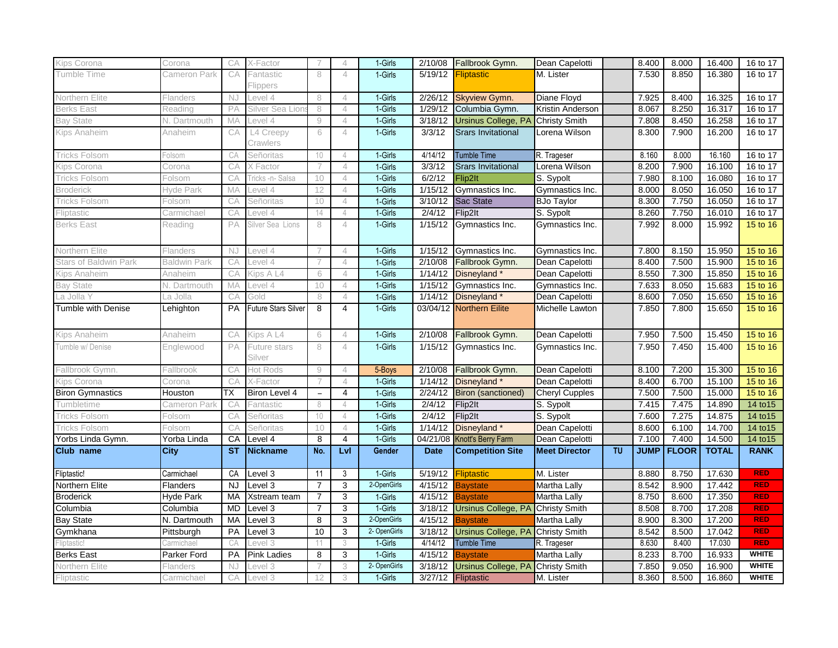| Kips Corona                  | Corona              | CA        | X-Factor                   |                          | $\overline{4}$ | 1-Girls      | 2/10/08     | Fallbrook Gymn.                   | Dean Capelotti        |    | 8.400       | 8.000        | 16.400       | 16 to 17     |
|------------------------------|---------------------|-----------|----------------------------|--------------------------|----------------|--------------|-------------|-----------------------------------|-----------------------|----|-------------|--------------|--------------|--------------|
| Tumble Time                  | Cameron Park        | CA        | <sup>=</sup> antastic      | 8                        | $\overline{4}$ | 1-Girls      | 5/19/12     | <b>Fliptastic</b>                 | M. Lister             |    | 7.530       | 8.850        | 16.380       | 16 to 17     |
|                              |                     |           | Flippers                   |                          |                |              |             |                                   |                       |    |             |              |              |              |
| Northern Elite               | Flanders            | NJ        | evel 4                     | 8                        | $\overline{4}$ | 1-Girls      | 2/26/12     | Skyview Gymn.                     | Diane Floyd           |    | 7.925       | 8.400        | 16.325       | 16 to 17     |
| <b>Berks East</b>            | Reading             | PA        | Silver Sea Lior            | 8                        | $\overline{4}$ | 1-Girls      | 1/29/12     | Columbia Gymn.                    | Kristin Anderson      |    | 8.067       | 8.250        | 16.317       | 16 to 17     |
| <b>Bay State</b>             | N. Dartmouth        | MA        | evel 4                     | $\mathrel{\mathcal{G}}$  | $\overline{4}$ | 1-Girls      | 3/18/12     | Ursinus College, PA Christy Smith |                       |    | 7.808       | 8.450        | 16.258       | 16 to 17     |
| Kips Anaheim                 | Anaheim             | CA        | L4 Creepy                  | 6                        | $\overline{4}$ | 1-Girls      | 3/3/12      | <b>Srars Invitational</b>         | Lorena Wilson         |    | 8.300       | 7.900        | 16.200       | 16 to 17     |
|                              |                     |           | Crawlers                   |                          |                |              |             |                                   |                       |    |             |              |              |              |
| <b>Tricks Folsom</b>         | Folsom              | CA        | Señoritas                  | 10                       | $\overline{4}$ | 1-Girls      | 4/14/12     | <b>Tumble Time</b>                | R. Trageser           |    | 8.160       | 8.000        | 16.160       | 16 to 17     |
| Kips Corona                  | Corona              | CA        | Factor                     |                          | $\overline{4}$ | 1-Girls      | 3/3/12      | <b>Srars Invitational</b>         | Lorena Wilson         |    | 8.200       | 7.900        | 16.100       | 16 to 17     |
| Tricks Folsom                | Folsom              | CА        | ⊺ricks -n- Salsa           | 10                       | $\overline{4}$ | 1-Girls      | 6/2/12      | Flip2lt                           | S. Sypolt             |    | 7.980       | 8.100        | 16.080       | 16 to 17     |
| Broderick                    | Hyde Park           | MA        | evel 4                     | 12                       | $\overline{4}$ | 1-Girls      | 1/15/12     | Gymnastics Inc.                   | Gymnastics Inc.       |    | 8.000       | 8.050        | 16.050       | 16 to 17     |
| <b>Tricks Folsom</b>         | Folsom              | CA        | Señoritas                  | 10                       | $\overline{4}$ | 1-Girls      | 3/10/12     | <b>Sac State</b>                  | <b>BJo Taylor</b>     |    | 8.300       | 7.750        | 16.050       | 16 to 17     |
| Fliptastic                   | Carmichael          | CA        | _evel 4                    | 14                       | $\overline{4}$ | 1-Girls      | 2/4/12      | Flip2lt                           | S. Sypolt             |    | 8.260       | 7.750        | 16.010       | 16 to 17     |
| <b>Berks East</b>            | Reading             | PA        | Silver Sea Lions           | 8                        | $\overline{4}$ | 1-Girls      | 1/15/12     | Gymnastics Inc.                   | Gymnastics Inc.       |    | 7.992       | 8.000        | 15.992       | 15 to 16     |
| Northern Elite               | Flanders            | NJ        | Level 4                    |                          | $\overline{4}$ | 1-Girls      | 1/15/12     | Gymnastics Inc.                   | Gymnastics Inc.       |    | 7.800       | 8.150        | 15.950       | 15 to 16     |
| <b>Stars of Baldwin Park</b> | <b>Baldwin Park</b> | CA        | evel 4                     |                          | $\overline{4}$ | 1-Girls      | 2/10/08     | Fallbrook Gymn.                   | Dean Capelotti        |    | 8.400       | 7.500        | 15.900       | 15 to 16     |
| Kips Anaheim                 | Anaheim             | CA        | Kips A L4                  | 6                        | $\overline{4}$ | 1-Girls      | 1/14/12     | Disneyland *                      | Dean Capelotti        |    | 8.550       | 7.300        | 15.850       | 15 to 16     |
| <b>Bay State</b>             | N. Dartmouth        | MA        | _evel 4                    | 10                       | $\overline{4}$ | 1-Girls      | 1/15/12     | Gymnastics Inc.                   | Gymnastics Inc.       |    | 7.633       | 8.050        | 15.683       | 15 to 16     |
| La Jolla Y                   | La Jolla            | CA        | Gold                       | 8                        | $\overline{4}$ | 1-Girls      | 1/14/12     | Disneyland*                       | Dean Capelotti        |    | 8.600       | 7.050        | 15.650       | 15 to 16     |
| <b>Tumble with Denise</b>    | Lehighton           | PA        | <b>Future Stars Silver</b> | 8                        | $\overline{4}$ | 1-Girls      |             | 03/04/12 Northern Eilite          | Michelle Lawton       |    | 7.850       | 7.800        | 15.650       | 15 to 16     |
|                              |                     |           |                            |                          |                |              |             |                                   |                       |    |             |              |              |              |
| Kips Anaheim                 | Anaheim             | CA        | Kips A L4                  | 6                        | $\overline{4}$ | 1-Girls      | 2/10/08     | Fallbrook Gymn.                   | Dean Capelotti        |    | 7.950       | 7.500        | 15.450       | 15 to 16     |
| Tumble w/ Denise             | Englewood           | PA        | <sup>=</sup> uture stars   | 8                        | $\overline{4}$ | 1-Girls      | 1/15/12     | Gymnastics Inc.                   | Gymnastics Inc.       |    | 7.950       | 7.450        | 15.400       | 15 to 16     |
|                              |                     |           | Silver                     |                          |                |              |             |                                   |                       |    |             |              |              |              |
| Fallbrook Gymn.              | Fallbrook           | CA        | Hot Rods                   | $\Theta$                 | $\overline{4}$ | 5-Boys       | 2/10/08     | Fallbrook Gymn.                   | Dean Capelotti        |    | 8.100       | 7.200        | 15.300       | 15 to 16     |
| Kips Corona                  | Corona              | CA        | X-Factor                   |                          | $\overline{4}$ | 1-Girls      | 1/14/12     | Disneyland <sup>*</sup>           | Dean Capelotti        |    | 8.400       | 6.700        | 15.100       | 15 to 16     |
| <b>Biron Gymnastics</b>      | Houston             | ТX        | Biron Level 4              | $\overline{\phantom{a}}$ | $\overline{4}$ | 1-Girls      | 2/24/12     | <b>Biron (sanctioned)</b>         | <b>Cheryl Cupples</b> |    | 7.500       | 7.500        | 15.000       | 15 to 16     |
| Tumbletime                   | Cameron Park        | CA        | Fantastic                  | 8                        | $\overline{4}$ | 1-Girls      | 2/4/12      | Flip2lt                           | S. Sypolt             |    | 7.415       | 7.475        | 14.890       | 14 to 15     |
| Tricks Folsom                | Folsom              | CA        | Señoritas                  | 10 <sup>°</sup>          | $\overline{4}$ | 1-Girls      | 2/4/12      | Flip2lt                           | S. Sypolt             |    | 7.600       | 7.275        | 14.875       | 14 to 15     |
| Tricks Folsom                | Folsom              | CA        | Señoritas                  | 10                       | $\overline{4}$ | 1-Girls      | 1/14/12     | Disneyland *                      | Dean Capelotti        |    | 8.600       | 6.100        | 14.700       | 14 to 15     |
| Yorbs Linda Gymn.            | Yorba Linda         | CA        | Level 4                    | 8                        | $\overline{4}$ | 1-Girls      |             | 04/21/08 Knott's Berry Farm       | Dean Capelotti        |    | 7.100       | 7.400        | 14.500       | 14 to 15     |
| Club name                    | City                | <b>ST</b> | <b>Nickname</b>            | No.                      | Lvl            | Gender       | <b>Date</b> | <b>Competition Site</b>           | <b>Meet Director</b>  | TU | <b>JUMP</b> | <b>FLOOR</b> | <b>TOTAL</b> | <b>RANK</b>  |
| Fliptastic!                  | Carmichael          | CA        | Level 3                    | 11                       | 3              | 1-Girls      | 5/19/12     | Fliptastic                        | M. Lister             |    | 8.880       | 8.750        | 17.630       | <b>RED</b>   |
| Northern Elite               | Flanders            | <b>NJ</b> | Level 3                    | $\overline{7}$           | 3              | 2-OpenGirls  | 4/15/12     | <b>Baystate</b>                   | Martha Lally          |    | 8.542       | 8.900        | 17.442       | <b>RED</b>   |
| <b>Broderick</b>             | <b>Hyde Park</b>    | <b>MA</b> | Xstream team               | $\overline{7}$           | 3              | 1-Girls      | 4/15/12     | <b>Baystate</b>                   | Martha Lally          |    | 8.750       | 8.600        | 17.350       | RED          |
| Columbia                     | Columbia            | <b>MD</b> | Level 3                    | $\overline{7}$           | 3              | 1-Girls      | 3/18/12     | Ursinus College, PA               | <b>Christy Smith</b>  |    | 8.508       | 8.700        | 17.208       | <b>RED</b>   |
| <b>Bay State</b>             | N. Dartmouth        | MA        | Level 3                    | 8                        | 3              | 2-OpenGirls  | 4/15/12     | <b>Baystate</b>                   | Martha Lally          |    | 8.900       | 8.300        | 17.200       | <b>RED</b>   |
| Gymkhana                     | Pittsburgh          | PA        | Level 3                    | $\overline{10}$          | 3              | 2- OpenGirls | 3/18/12     | <b>Ursinus College, PA</b>        | <b>Christy Smith</b>  |    | 8.542       | 8.500        | 17.042       | <b>RED</b>   |
| Fliptastic                   | Carmichael          | CA        | Level 3                    | 11                       | 3              | 1-Girls      | 4/14/12     | <b>Tumble Time</b>                | R. Trageser           |    | 8.630       | 8.400        | 17.030       | <b>RED</b>   |
| <b>Berks East</b>            | Parker Ford         | PA        | <b>Pink Ladies</b>         | 8                        | 3              | 1-Girls      | 4/15/12     | <b>Baystate</b>                   | Martha Lally          |    | 8.233       | 8.700        | 16.933       | <b>WHITE</b> |
| Northern Elite               | Flanders            | NJ        | Level 3                    |                          | 3              | 2- OpenGirls | 3/18/12     | Ursinus College, PA               | <b>Christy Smith</b>  |    | 7.850       | 9.050        | 16.900       | <b>WHITE</b> |
| Fliptastic                   | Carmichael          | CА        | _evel 3                    | 12                       | 3              | 1-Girls      | 3/27/12     | Fliptastic                        | M. Lister             |    | 8.360       | 8.500        | 16.860       | <b>WHITE</b> |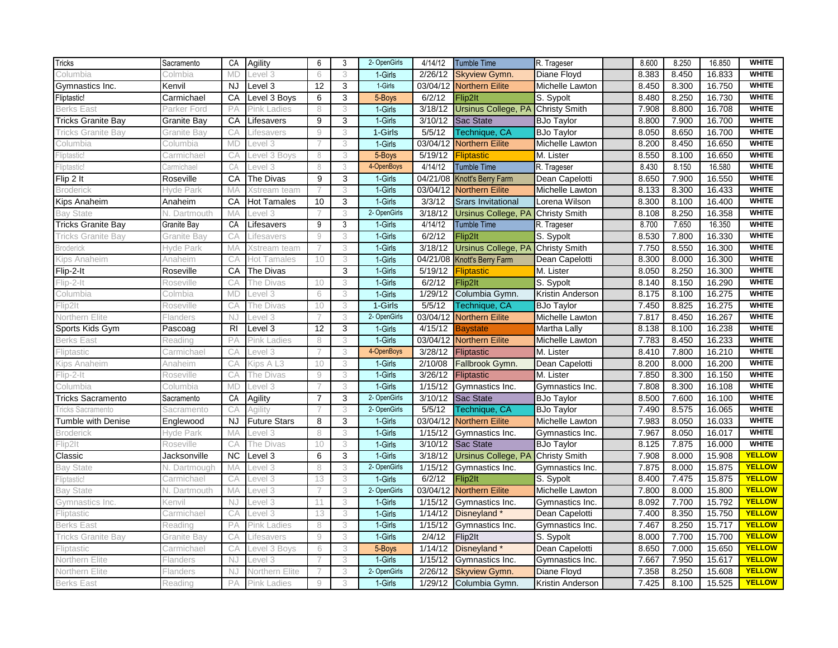| <b>WHITE</b><br>1-Girls<br>8.383<br>8.450<br>16.833<br>3<br>2/26/12<br><b>Skyview Gymn.</b><br>Diane Floyd<br>Columbia<br>Colmbia<br><b>MD</b><br>evel 3<br>6<br>1-Girls<br><b>WHITE</b><br>12<br>3<br>8.450<br>16.750<br><b>NJ</b><br>Level 3<br>03/04/12<br><b>Northern Eilite</b><br>Michelle Lawton<br>8.300<br>Kenvil<br>8.250<br><b>WHITE</b><br>Level 3 Boys<br>6<br>3<br>5-Boys<br>8.480<br>16.730<br>Carmichael<br>CA<br>6/2/12<br>Flip2lt<br>S. Sypolt<br><b>WHITE</b><br>PA<br>3<br>1-Girls<br>3/18/12<br><b>Ursinus College, PA</b><br>7.908<br>8.800<br>16.708<br><b>Berks East</b><br><b>Pink Ladies</b><br>8<br><b>Christy Smith</b><br>Parker Ford<br><b>WHITE</b><br>1-Girls<br>7.900<br>16.700<br>9<br>3<br>3/10/12<br>Sac State<br>8.800<br>Granite Bay<br>СA<br>Lifesavers<br><b>BJo Taylor</b><br>1-Girls<br>5/5/12<br>8.050<br>8.650<br>16.700<br><b>WHITE</b><br>9<br>3<br>Technique, CA<br><b>BJo Taylor</b><br><b>Tricks Granite Bay</b><br>СA<br>Granite Bav<br>Lifesavers<br><b>WHITE</b><br>1-Girls<br>8.200<br>8.450<br>16.650<br><b>MD</b><br>03/04/12<br><b>Northern Eilite</b><br>Michelle Lawton<br>_evel 3<br>3<br>Columbia<br>Columbia<br><b>WHITE</b><br>5/19/12<br>8.550<br>8.100<br>16.650<br>CA<br>3<br>5-Boys<br>M. Lister<br>Fliptastic!<br>evel 3 Boys<br>8<br><b>Fliptastic</b><br>Carmichael<br><b>WHITE</b><br>8.430<br>8.150<br>16.580<br>4-OpenBoys<br>4/14/12<br><b>Tumble Time</b><br>Fliptastic!<br>CA<br>evel 3<br>8<br>3<br>R. Trageser<br>Carmichael<br><b>WHITE</b><br>9<br>1-Girls<br>8.650<br>7.900<br>16.550<br>CA<br>The Divas<br>3<br>04/21/08<br>Knott's Berry Farm<br>Dean Capelotti<br>Roseville<br>1-Girls<br>8.300<br>16.433<br><b>WHITE</b><br>3<br>03/04/12<br><b>Northern Eilite</b><br>8.133<br><b>Broderick</b><br>Hyde Park<br>MA<br>Xstream team<br>$\overline{7}$<br>Michelle Lawton<br><b>WHITE</b><br>10<br>1-Girls<br>8.300<br>8.100<br>16.400<br>CA<br><b>Hot Tamales</b><br>3<br>3/3/12<br><b>Srars Invitational</b><br>Lorena Wilson<br>Anaheim<br>8.250<br><b>WHITE</b><br>3<br>2- OpenGirls<br><b>Ursinus College, PA</b><br>8.108<br>16.358<br><b>Bay State</b><br>MA<br>3/18/12<br><b>Christy Smith</b><br>evel 3<br>N. Dartmouth<br>4/14/12<br>8.700<br>7.650<br>16.350<br><b>WHITE</b><br>CA<br>9<br>3<br>1-Girls<br>Tumble Time<br>Granite Bay<br>Lifesavers<br>R. Trageser<br>6/2/12<br>8.530<br>7.800<br>16.330<br><b>WHITE</b><br>1-Girls<br>Flip2lt<br>S. Sypolt<br>Granite Bay<br>CA<br>Lifesavers<br>9<br>3<br><b>Ursinus College, PA Christy Smith</b><br>8.550<br>16.300<br><b>WHITE</b><br>1-Girls<br>3/18/12<br>7.750<br>Hyde Park<br>MA<br>3<br>Xstream team<br><b>WHITE</b><br>3<br>1-Girls<br>04/21/08 Knott's Berry Farm<br>8.300<br>8.000<br>16.300<br>CA<br>10<br>Dean Capelotti<br>Kips Anaheim<br>Anaheim<br>Hot Tamales<br><b>WHITE</b><br>1-Girls<br>8.050<br>8.250<br>CA<br>3<br>5/19/12<br>16.300<br>The Divas<br><b>Fliptastic</b><br>M. Lister<br>Roseville<br>1-Girls<br>8.150<br>16.290<br><b>WHITE</b><br>3<br>6/2/12<br>Flip2lt<br>S. Sypolt<br>8.140<br>Flip-2-It<br>10<br>Roseville<br>CА<br>The Divas<br><b>WHITE</b><br>1-Girls<br>8.175<br>16.275<br><b>MD</b><br>3<br>1/29/12<br>Columbia Gymn.<br>8.100<br>Columbia<br>_evel 3<br>6<br>Kristin Anderson<br>Colmbia<br><b>WHITE</b><br>3<br>1-Girls<br>5/5/12<br><b>BJo Taylor</b><br>7.450<br>8.825<br>16.275<br>CA<br>10<br>Technique, CA<br>Flip2lt<br>Roseville<br>The Divas<br>2- OpenGirls<br>8.450<br>16.267<br><b>WHITE</b><br>03/04/12<br>7.817<br>Northern Elite<br>3<br><b>Northern Eilite</b><br>Michelle Lawton<br>Flanders<br>NJ<br>evel 3<br><b>WHITE</b><br>R <sub>l</sub><br>Level 3<br>12<br>3<br>1-Girls<br>4/15/12<br>8.138<br>8.100<br>16.238<br>Pascoag<br>Martha Lally<br>Bavstate<br><b>WHITE</b><br>1-Girls<br>7.783<br>8.450<br>16.233<br>03/04/12 Northern Eilite<br><b>Berks East</b><br>PA<br><b>Pink Ladies</b><br>8<br>3<br>Michelle Lawton<br>Reading<br><b>WHITE</b><br>4-OpenBoys<br>8.410<br>7.800<br>16.210<br>Fliptastic<br>CA<br>3<br>3/28/12<br>Fliptastic<br>M. Lister<br>_evel 3<br>Carmichael<br><b>WHITE</b><br>1-Girls<br>2/10/08<br>8.200<br>8.000<br>16.200<br>CA<br>10<br>3<br>Fallbrook Gymn.<br>Dean Capelotti<br>Kips A L3<br>Kips Anaheim<br>Anaheim<br>1-Girls<br>7.850<br>8.300<br><b>WHITE</b><br>9<br>3<br>3/26/12<br>M. Lister<br>16.150<br>Flip-2-It<br>Roseville<br>CA<br><b>Fliptastic</b><br>The Divas<br>1-Girls<br>7.808<br>16.108<br><b>WHITE</b><br>1/15/12<br>8.300<br><b>MD</b><br>7<br>3<br>Gymnastics Inc.<br>Gymnastics Inc.<br>Columbia<br>Columbia<br>evel 3-<br>2- OpenGirls<br>8.500<br>7.600<br>16.100<br><b>WHITE</b><br>CA<br>$\overline{7}$<br>3<br>3/10/12<br>Sac State<br><b>BJo Taylor</b><br>Sacramento<br>Agility<br>8.575<br><b>WHITE</b><br>2- OpenGirls<br>5/5/12<br>7.490<br>16.065<br>CA<br>Technique, CA<br><b>BJo Taylor</b><br>Agility<br>3<br>Tricks Sacramento<br>Sacramento<br><b>WHITE</b><br><b>Future Stars</b><br>03/04/12<br>7.983<br>8.050<br>16.033<br><b>NJ</b><br>8<br>3<br>1-Girls<br><b>Northern Eilite</b><br>Michelle Lawton<br>Englewood<br>7.967<br>8.050<br><b>WHITE</b><br>1-Girls<br>1/15/12<br>16.017<br>3<br>Gymnastics Inc.<br>Hyde Park<br>MA<br>_evel 3<br>8<br>Gymnastics Inc.<br><b>WHITE</b><br>1-Girls<br>Flip2lt<br>CA<br>10<br>3<br>3/10/12<br>Sac State<br><b>BJo Taylor</b><br>8.125<br>7.875<br>16.000<br>Roseville<br>The Divas<br><b>YELLOW</b><br><b>NC</b><br>6<br>3<br>1-Girls<br>Ursinus College, PA<br>7.908<br>8.000<br>15.908<br>3/18/12<br>Jacksonville<br>Level 3<br><b>Christy Smith</b><br>2- OpenGirls<br>1/15/12<br>7.875<br>8.000<br>15.875<br><b>YELLOW</b><br>8<br>3<br>Gymnastics Inc.<br>Bay State<br>MA<br>_evel 3<br>Gymnastics Inc.<br>N. Dartmough<br>1-Girls<br>6/2/12<br>8.400<br>7.475<br>15.875<br><b>YELLOW</b><br>CA<br>Flip2lt<br>S. Sypolt<br>Carmichael<br>Level 3<br>13<br>3<br>2- OpenGirls<br>03/04/12 Northern Eilite<br><b>YELLOW</b><br>MA<br>3<br>7.800<br>8.000<br>15.800<br><b>Bay State</b><br>_evel 3<br>Michelle Lawton<br>N. Dartmouth<br>7.700<br>15.792<br><b>YELLOW</b><br>3<br>1/15/12<br>8.092<br>NJ<br>Level 3<br>11<br>1-Girls<br>Gymnastics Inc.<br>Gymnastics Inc.<br>Gymnastics Inc.<br>Kenvil<br>8.350<br>15.750<br><b>YELLOW</b><br>1-Girls<br>1/14/12<br>7.400<br>CA<br>evel 3<br>13<br>3<br>Disneyland*<br>Dean Capelotti<br>Fliptastic<br>Carmichael<br>PA<br>1/15/12<br>7.467<br>8.250<br>15.717<br><b>YELLOW</b><br>3<br>1-Girls<br><b>Berks East</b><br>Pink Ladies<br>8<br>Gymnastics Inc.<br>Gymnastics Inc.<br>Readinc<br><b>YELLOW</b><br>1-Girls<br>2/4/12<br>8.000<br>7.700<br>15.700<br>CA<br>9<br>3<br>Flip2lt<br>S. Sypolt<br>Granite Bay<br>Lifesavers<br><b>YELLOW</b><br>8.650<br>7.000<br>CA<br>3<br>5-Boys<br>1/14/12<br>Disneyland*<br>15.650<br>6<br>Dean Capelotti<br>Fliptastic<br>evel 3 Boys<br>Carmichael<br>1-Girls<br>7.667<br>7.950<br>15.617<br><b>YELLOW</b><br>3<br>1/15/12<br>Northern Elite<br>Flanders<br>NJ<br>evel 3<br>$\overline{7}$<br>Gymnastics Inc.<br>Gymnastics Inc.<br>2- OpenGirls<br>7.358<br>8.250<br>15.608<br><b>YELLOW</b><br>2/26/12<br><b>Skyview Gymn.</b><br>NJ<br>Northern Elite<br>3<br>Diane Floyd<br>Northern Elite<br>Flanders<br>1-Girls<br><b>YELLOW</b><br>7.425<br>8.100<br>15.525<br>PA<br><b>Pink Ladies</b><br>9<br>3<br>1/29/12<br>Columbia Gymn.<br>Kristin Anderson<br><b>Berks East</b><br>Reading | Tricks                    | Sacramento | CA | <b>Agility</b> | 6 | 3 | 2- OpenGirls | 4/14/12 | <b>Tumble Time</b> | R. Trageser | 8.600 | 8.250 | 16.850 | <b>WHITE</b> |
|-------------------------------------------------------------------------------------------------------------------------------------------------------------------------------------------------------------------------------------------------------------------------------------------------------------------------------------------------------------------------------------------------------------------------------------------------------------------------------------------------------------------------------------------------------------------------------------------------------------------------------------------------------------------------------------------------------------------------------------------------------------------------------------------------------------------------------------------------------------------------------------------------------------------------------------------------------------------------------------------------------------------------------------------------------------------------------------------------------------------------------------------------------------------------------------------------------------------------------------------------------------------------------------------------------------------------------------------------------------------------------------------------------------------------------------------------------------------------------------------------------------------------------------------------------------------------------------------------------------------------------------------------------------------------------------------------------------------------------------------------------------------------------------------------------------------------------------------------------------------------------------------------------------------------------------------------------------------------------------------------------------------------------------------------------------------------------------------------------------------------------------------------------------------------------------------------------------------------------------------------------------------------------------------------------------------------------------------------------------------------------------------------------------------------------------------------------------------------------------------------------------------------------------------------------------------------------------------------------------------------------------------------------------------------------------------------------------------------------------------------------------------------------------------------------------------------------------------------------------------------------------------------------------------------------------------------------------------------------------------------------------------------------------------------------------------------------------------------------------------------------------------------------------------------------------------------------------------------------------------------------------------------------------------------------------------------------------------------------------------------------------------------------------------------------------------------------------------------------------------------------------------------------------------------------------------------------------------------------------------------------------------------------------------------------------------------------------------------------------------------------------------------------------------------------------------------------------------------------------------------------------------------------------------------------------------------------------------------------------------------------------------------------------------------------------------------------------------------------------------------------------------------------------------------------------------------------------------------------------------------------------------------------------------------------------------------------------------------------------------------------------------------------------------------------------------------------------------------------------------------------------------------------------------------------------------------------------------------------------------------------------------------------------------------------------------------------------------------------------------------------------------------------------------------------------------------------------------------------------------------------------------------------------------------------------------------------------------------------------------------------------------------------------------------------------------------------------------------------------------------------------------------------------------------------------------------------------------------------------------------------------------------------------------------------------------------------------------------------------------------------------------------------------------------------------------------------------------------------------------------------------------------------------------------------------------------------------------------------------------------------------------------------------------------------------------------------------------------------------------------------------------------------------------------------------------------------------------------------------------------------------------------------------------------------------------------------------------------------------------------------------------------------------------------------------------------------------------------------------------------------------------------------------------------------------------------------------------------------------------------------------------------------------------------------------------------------------------------------------------------------------------------------------------------------------------------------------------------------------------------------------------------------------------------------------------------------------------------------------------------------------------------------------------------------------------------------------------------------------------------------------------------------------------------------------------------------------------------------------------------------------------------------------------------------------------------------------------------------------------------------------------------------------------------------------------------------------------------------------------------------------------------------------------------------------------------------------------------------------------------------------------------------------------------------------------------------------------------------------------------------------------------------------------------------------------|---------------------------|------------|----|----------------|---|---|--------------|---------|--------------------|-------------|-------|-------|--------|--------------|
|                                                                                                                                                                                                                                                                                                                                                                                                                                                                                                                                                                                                                                                                                                                                                                                                                                                                                                                                                                                                                                                                                                                                                                                                                                                                                                                                                                                                                                                                                                                                                                                                                                                                                                                                                                                                                                                                                                                                                                                                                                                                                                                                                                                                                                                                                                                                                                                                                                                                                                                                                                                                                                                                                                                                                                                                                                                                                                                                                                                                                                                                                                                                                                                                                                                                                                                                                                                                                                                                                                                                                                                                                                                                                                                                                                                                                                                                                                                                                                                                                                                                                                                                                                                                                                                                                                                                                                                                                                                                                                                                                                                                                                                                                                                                                                                                                                                                                                                                                                                                                                                                                                                                                                                                                                                                                                                                                                                                                                                                                                                                                                                                                                                                                                                                                                                                                                                                                                                                                                                                                                                                                                                                                                                                                                                                                                                                                                                                                                                                                                                                                                                                                                                                                                                                                                                                                                                                                                                                                                                                                                                                                                                                                                                                                                                                                                                                                                                                                                           |                           |            |    |                |   |   |              |         |                    |             |       |       |        |              |
|                                                                                                                                                                                                                                                                                                                                                                                                                                                                                                                                                                                                                                                                                                                                                                                                                                                                                                                                                                                                                                                                                                                                                                                                                                                                                                                                                                                                                                                                                                                                                                                                                                                                                                                                                                                                                                                                                                                                                                                                                                                                                                                                                                                                                                                                                                                                                                                                                                                                                                                                                                                                                                                                                                                                                                                                                                                                                                                                                                                                                                                                                                                                                                                                                                                                                                                                                                                                                                                                                                                                                                                                                                                                                                                                                                                                                                                                                                                                                                                                                                                                                                                                                                                                                                                                                                                                                                                                                                                                                                                                                                                                                                                                                                                                                                                                                                                                                                                                                                                                                                                                                                                                                                                                                                                                                                                                                                                                                                                                                                                                                                                                                                                                                                                                                                                                                                                                                                                                                                                                                                                                                                                                                                                                                                                                                                                                                                                                                                                                                                                                                                                                                                                                                                                                                                                                                                                                                                                                                                                                                                                                                                                                                                                                                                                                                                                                                                                                                                           | Gymnastics Inc.           |            |    |                |   |   |              |         |                    |             |       |       |        |              |
|                                                                                                                                                                                                                                                                                                                                                                                                                                                                                                                                                                                                                                                                                                                                                                                                                                                                                                                                                                                                                                                                                                                                                                                                                                                                                                                                                                                                                                                                                                                                                                                                                                                                                                                                                                                                                                                                                                                                                                                                                                                                                                                                                                                                                                                                                                                                                                                                                                                                                                                                                                                                                                                                                                                                                                                                                                                                                                                                                                                                                                                                                                                                                                                                                                                                                                                                                                                                                                                                                                                                                                                                                                                                                                                                                                                                                                                                                                                                                                                                                                                                                                                                                                                                                                                                                                                                                                                                                                                                                                                                                                                                                                                                                                                                                                                                                                                                                                                                                                                                                                                                                                                                                                                                                                                                                                                                                                                                                                                                                                                                                                                                                                                                                                                                                                                                                                                                                                                                                                                                                                                                                                                                                                                                                                                                                                                                                                                                                                                                                                                                                                                                                                                                                                                                                                                                                                                                                                                                                                                                                                                                                                                                                                                                                                                                                                                                                                                                                                           | Fliptastic!               |            |    |                |   |   |              |         |                    |             |       |       |        |              |
|                                                                                                                                                                                                                                                                                                                                                                                                                                                                                                                                                                                                                                                                                                                                                                                                                                                                                                                                                                                                                                                                                                                                                                                                                                                                                                                                                                                                                                                                                                                                                                                                                                                                                                                                                                                                                                                                                                                                                                                                                                                                                                                                                                                                                                                                                                                                                                                                                                                                                                                                                                                                                                                                                                                                                                                                                                                                                                                                                                                                                                                                                                                                                                                                                                                                                                                                                                                                                                                                                                                                                                                                                                                                                                                                                                                                                                                                                                                                                                                                                                                                                                                                                                                                                                                                                                                                                                                                                                                                                                                                                                                                                                                                                                                                                                                                                                                                                                                                                                                                                                                                                                                                                                                                                                                                                                                                                                                                                                                                                                                                                                                                                                                                                                                                                                                                                                                                                                                                                                                                                                                                                                                                                                                                                                                                                                                                                                                                                                                                                                                                                                                                                                                                                                                                                                                                                                                                                                                                                                                                                                                                                                                                                                                                                                                                                                                                                                                                                                           |                           |            |    |                |   |   |              |         |                    |             |       |       |        |              |
|                                                                                                                                                                                                                                                                                                                                                                                                                                                                                                                                                                                                                                                                                                                                                                                                                                                                                                                                                                                                                                                                                                                                                                                                                                                                                                                                                                                                                                                                                                                                                                                                                                                                                                                                                                                                                                                                                                                                                                                                                                                                                                                                                                                                                                                                                                                                                                                                                                                                                                                                                                                                                                                                                                                                                                                                                                                                                                                                                                                                                                                                                                                                                                                                                                                                                                                                                                                                                                                                                                                                                                                                                                                                                                                                                                                                                                                                                                                                                                                                                                                                                                                                                                                                                                                                                                                                                                                                                                                                                                                                                                                                                                                                                                                                                                                                                                                                                                                                                                                                                                                                                                                                                                                                                                                                                                                                                                                                                                                                                                                                                                                                                                                                                                                                                                                                                                                                                                                                                                                                                                                                                                                                                                                                                                                                                                                                                                                                                                                                                                                                                                                                                                                                                                                                                                                                                                                                                                                                                                                                                                                                                                                                                                                                                                                                                                                                                                                                                                           | <b>Tricks Granite Bay</b> |            |    |                |   |   |              |         |                    |             |       |       |        |              |
|                                                                                                                                                                                                                                                                                                                                                                                                                                                                                                                                                                                                                                                                                                                                                                                                                                                                                                                                                                                                                                                                                                                                                                                                                                                                                                                                                                                                                                                                                                                                                                                                                                                                                                                                                                                                                                                                                                                                                                                                                                                                                                                                                                                                                                                                                                                                                                                                                                                                                                                                                                                                                                                                                                                                                                                                                                                                                                                                                                                                                                                                                                                                                                                                                                                                                                                                                                                                                                                                                                                                                                                                                                                                                                                                                                                                                                                                                                                                                                                                                                                                                                                                                                                                                                                                                                                                                                                                                                                                                                                                                                                                                                                                                                                                                                                                                                                                                                                                                                                                                                                                                                                                                                                                                                                                                                                                                                                                                                                                                                                                                                                                                                                                                                                                                                                                                                                                                                                                                                                                                                                                                                                                                                                                                                                                                                                                                                                                                                                                                                                                                                                                                                                                                                                                                                                                                                                                                                                                                                                                                                                                                                                                                                                                                                                                                                                                                                                                                                           |                           |            |    |                |   |   |              |         |                    |             |       |       |        |              |
|                                                                                                                                                                                                                                                                                                                                                                                                                                                                                                                                                                                                                                                                                                                                                                                                                                                                                                                                                                                                                                                                                                                                                                                                                                                                                                                                                                                                                                                                                                                                                                                                                                                                                                                                                                                                                                                                                                                                                                                                                                                                                                                                                                                                                                                                                                                                                                                                                                                                                                                                                                                                                                                                                                                                                                                                                                                                                                                                                                                                                                                                                                                                                                                                                                                                                                                                                                                                                                                                                                                                                                                                                                                                                                                                                                                                                                                                                                                                                                                                                                                                                                                                                                                                                                                                                                                                                                                                                                                                                                                                                                                                                                                                                                                                                                                                                                                                                                                                                                                                                                                                                                                                                                                                                                                                                                                                                                                                                                                                                                                                                                                                                                                                                                                                                                                                                                                                                                                                                                                                                                                                                                                                                                                                                                                                                                                                                                                                                                                                                                                                                                                                                                                                                                                                                                                                                                                                                                                                                                                                                                                                                                                                                                                                                                                                                                                                                                                                                                           |                           |            |    |                |   |   |              |         |                    |             |       |       |        |              |
|                                                                                                                                                                                                                                                                                                                                                                                                                                                                                                                                                                                                                                                                                                                                                                                                                                                                                                                                                                                                                                                                                                                                                                                                                                                                                                                                                                                                                                                                                                                                                                                                                                                                                                                                                                                                                                                                                                                                                                                                                                                                                                                                                                                                                                                                                                                                                                                                                                                                                                                                                                                                                                                                                                                                                                                                                                                                                                                                                                                                                                                                                                                                                                                                                                                                                                                                                                                                                                                                                                                                                                                                                                                                                                                                                                                                                                                                                                                                                                                                                                                                                                                                                                                                                                                                                                                                                                                                                                                                                                                                                                                                                                                                                                                                                                                                                                                                                                                                                                                                                                                                                                                                                                                                                                                                                                                                                                                                                                                                                                                                                                                                                                                                                                                                                                                                                                                                                                                                                                                                                                                                                                                                                                                                                                                                                                                                                                                                                                                                                                                                                                                                                                                                                                                                                                                                                                                                                                                                                                                                                                                                                                                                                                                                                                                                                                                                                                                                                                           |                           |            |    |                |   |   |              |         |                    |             |       |       |        |              |
|                                                                                                                                                                                                                                                                                                                                                                                                                                                                                                                                                                                                                                                                                                                                                                                                                                                                                                                                                                                                                                                                                                                                                                                                                                                                                                                                                                                                                                                                                                                                                                                                                                                                                                                                                                                                                                                                                                                                                                                                                                                                                                                                                                                                                                                                                                                                                                                                                                                                                                                                                                                                                                                                                                                                                                                                                                                                                                                                                                                                                                                                                                                                                                                                                                                                                                                                                                                                                                                                                                                                                                                                                                                                                                                                                                                                                                                                                                                                                                                                                                                                                                                                                                                                                                                                                                                                                                                                                                                                                                                                                                                                                                                                                                                                                                                                                                                                                                                                                                                                                                                                                                                                                                                                                                                                                                                                                                                                                                                                                                                                                                                                                                                                                                                                                                                                                                                                                                                                                                                                                                                                                                                                                                                                                                                                                                                                                                                                                                                                                                                                                                                                                                                                                                                                                                                                                                                                                                                                                                                                                                                                                                                                                                                                                                                                                                                                                                                                                                           |                           |            |    |                |   |   |              |         |                    |             |       |       |        |              |
|                                                                                                                                                                                                                                                                                                                                                                                                                                                                                                                                                                                                                                                                                                                                                                                                                                                                                                                                                                                                                                                                                                                                                                                                                                                                                                                                                                                                                                                                                                                                                                                                                                                                                                                                                                                                                                                                                                                                                                                                                                                                                                                                                                                                                                                                                                                                                                                                                                                                                                                                                                                                                                                                                                                                                                                                                                                                                                                                                                                                                                                                                                                                                                                                                                                                                                                                                                                                                                                                                                                                                                                                                                                                                                                                                                                                                                                                                                                                                                                                                                                                                                                                                                                                                                                                                                                                                                                                                                                                                                                                                                                                                                                                                                                                                                                                                                                                                                                                                                                                                                                                                                                                                                                                                                                                                                                                                                                                                                                                                                                                                                                                                                                                                                                                                                                                                                                                                                                                                                                                                                                                                                                                                                                                                                                                                                                                                                                                                                                                                                                                                                                                                                                                                                                                                                                                                                                                                                                                                                                                                                                                                                                                                                                                                                                                                                                                                                                                                                           | Flip $2$ It               |            |    |                |   |   |              |         |                    |             |       |       |        |              |
|                                                                                                                                                                                                                                                                                                                                                                                                                                                                                                                                                                                                                                                                                                                                                                                                                                                                                                                                                                                                                                                                                                                                                                                                                                                                                                                                                                                                                                                                                                                                                                                                                                                                                                                                                                                                                                                                                                                                                                                                                                                                                                                                                                                                                                                                                                                                                                                                                                                                                                                                                                                                                                                                                                                                                                                                                                                                                                                                                                                                                                                                                                                                                                                                                                                                                                                                                                                                                                                                                                                                                                                                                                                                                                                                                                                                                                                                                                                                                                                                                                                                                                                                                                                                                                                                                                                                                                                                                                                                                                                                                                                                                                                                                                                                                                                                                                                                                                                                                                                                                                                                                                                                                                                                                                                                                                                                                                                                                                                                                                                                                                                                                                                                                                                                                                                                                                                                                                                                                                                                                                                                                                                                                                                                                                                                                                                                                                                                                                                                                                                                                                                                                                                                                                                                                                                                                                                                                                                                                                                                                                                                                                                                                                                                                                                                                                                                                                                                                                           |                           |            |    |                |   |   |              |         |                    |             |       |       |        |              |
|                                                                                                                                                                                                                                                                                                                                                                                                                                                                                                                                                                                                                                                                                                                                                                                                                                                                                                                                                                                                                                                                                                                                                                                                                                                                                                                                                                                                                                                                                                                                                                                                                                                                                                                                                                                                                                                                                                                                                                                                                                                                                                                                                                                                                                                                                                                                                                                                                                                                                                                                                                                                                                                                                                                                                                                                                                                                                                                                                                                                                                                                                                                                                                                                                                                                                                                                                                                                                                                                                                                                                                                                                                                                                                                                                                                                                                                                                                                                                                                                                                                                                                                                                                                                                                                                                                                                                                                                                                                                                                                                                                                                                                                                                                                                                                                                                                                                                                                                                                                                                                                                                                                                                                                                                                                                                                                                                                                                                                                                                                                                                                                                                                                                                                                                                                                                                                                                                                                                                                                                                                                                                                                                                                                                                                                                                                                                                                                                                                                                                                                                                                                                                                                                                                                                                                                                                                                                                                                                                                                                                                                                                                                                                                                                                                                                                                                                                                                                                                           | Kips Anaheim              |            |    |                |   |   |              |         |                    |             |       |       |        |              |
|                                                                                                                                                                                                                                                                                                                                                                                                                                                                                                                                                                                                                                                                                                                                                                                                                                                                                                                                                                                                                                                                                                                                                                                                                                                                                                                                                                                                                                                                                                                                                                                                                                                                                                                                                                                                                                                                                                                                                                                                                                                                                                                                                                                                                                                                                                                                                                                                                                                                                                                                                                                                                                                                                                                                                                                                                                                                                                                                                                                                                                                                                                                                                                                                                                                                                                                                                                                                                                                                                                                                                                                                                                                                                                                                                                                                                                                                                                                                                                                                                                                                                                                                                                                                                                                                                                                                                                                                                                                                                                                                                                                                                                                                                                                                                                                                                                                                                                                                                                                                                                                                                                                                                                                                                                                                                                                                                                                                                                                                                                                                                                                                                                                                                                                                                                                                                                                                                                                                                                                                                                                                                                                                                                                                                                                                                                                                                                                                                                                                                                                                                                                                                                                                                                                                                                                                                                                                                                                                                                                                                                                                                                                                                                                                                                                                                                                                                                                                                                           |                           |            |    |                |   |   |              |         |                    |             |       |       |        |              |
|                                                                                                                                                                                                                                                                                                                                                                                                                                                                                                                                                                                                                                                                                                                                                                                                                                                                                                                                                                                                                                                                                                                                                                                                                                                                                                                                                                                                                                                                                                                                                                                                                                                                                                                                                                                                                                                                                                                                                                                                                                                                                                                                                                                                                                                                                                                                                                                                                                                                                                                                                                                                                                                                                                                                                                                                                                                                                                                                                                                                                                                                                                                                                                                                                                                                                                                                                                                                                                                                                                                                                                                                                                                                                                                                                                                                                                                                                                                                                                                                                                                                                                                                                                                                                                                                                                                                                                                                                                                                                                                                                                                                                                                                                                                                                                                                                                                                                                                                                                                                                                                                                                                                                                                                                                                                                                                                                                                                                                                                                                                                                                                                                                                                                                                                                                                                                                                                                                                                                                                                                                                                                                                                                                                                                                                                                                                                                                                                                                                                                                                                                                                                                                                                                                                                                                                                                                                                                                                                                                                                                                                                                                                                                                                                                                                                                                                                                                                                                                           | <b>Tricks Granite Bay</b> |            |    |                |   |   |              |         |                    |             |       |       |        |              |
|                                                                                                                                                                                                                                                                                                                                                                                                                                                                                                                                                                                                                                                                                                                                                                                                                                                                                                                                                                                                                                                                                                                                                                                                                                                                                                                                                                                                                                                                                                                                                                                                                                                                                                                                                                                                                                                                                                                                                                                                                                                                                                                                                                                                                                                                                                                                                                                                                                                                                                                                                                                                                                                                                                                                                                                                                                                                                                                                                                                                                                                                                                                                                                                                                                                                                                                                                                                                                                                                                                                                                                                                                                                                                                                                                                                                                                                                                                                                                                                                                                                                                                                                                                                                                                                                                                                                                                                                                                                                                                                                                                                                                                                                                                                                                                                                                                                                                                                                                                                                                                                                                                                                                                                                                                                                                                                                                                                                                                                                                                                                                                                                                                                                                                                                                                                                                                                                                                                                                                                                                                                                                                                                                                                                                                                                                                                                                                                                                                                                                                                                                                                                                                                                                                                                                                                                                                                                                                                                                                                                                                                                                                                                                                                                                                                                                                                                                                                                                                           | <b>Tricks Granite Bay</b> |            |    |                |   |   |              |         |                    |             |       |       |        |              |
|                                                                                                                                                                                                                                                                                                                                                                                                                                                                                                                                                                                                                                                                                                                                                                                                                                                                                                                                                                                                                                                                                                                                                                                                                                                                                                                                                                                                                                                                                                                                                                                                                                                                                                                                                                                                                                                                                                                                                                                                                                                                                                                                                                                                                                                                                                                                                                                                                                                                                                                                                                                                                                                                                                                                                                                                                                                                                                                                                                                                                                                                                                                                                                                                                                                                                                                                                                                                                                                                                                                                                                                                                                                                                                                                                                                                                                                                                                                                                                                                                                                                                                                                                                                                                                                                                                                                                                                                                                                                                                                                                                                                                                                                                                                                                                                                                                                                                                                                                                                                                                                                                                                                                                                                                                                                                                                                                                                                                                                                                                                                                                                                                                                                                                                                                                                                                                                                                                                                                                                                                                                                                                                                                                                                                                                                                                                                                                                                                                                                                                                                                                                                                                                                                                                                                                                                                                                                                                                                                                                                                                                                                                                                                                                                                                                                                                                                                                                                                                           | <b>Broderick</b>          |            |    |                |   |   |              |         |                    |             |       |       |        |              |
|                                                                                                                                                                                                                                                                                                                                                                                                                                                                                                                                                                                                                                                                                                                                                                                                                                                                                                                                                                                                                                                                                                                                                                                                                                                                                                                                                                                                                                                                                                                                                                                                                                                                                                                                                                                                                                                                                                                                                                                                                                                                                                                                                                                                                                                                                                                                                                                                                                                                                                                                                                                                                                                                                                                                                                                                                                                                                                                                                                                                                                                                                                                                                                                                                                                                                                                                                                                                                                                                                                                                                                                                                                                                                                                                                                                                                                                                                                                                                                                                                                                                                                                                                                                                                                                                                                                                                                                                                                                                                                                                                                                                                                                                                                                                                                                                                                                                                                                                                                                                                                                                                                                                                                                                                                                                                                                                                                                                                                                                                                                                                                                                                                                                                                                                                                                                                                                                                                                                                                                                                                                                                                                                                                                                                                                                                                                                                                                                                                                                                                                                                                                                                                                                                                                                                                                                                                                                                                                                                                                                                                                                                                                                                                                                                                                                                                                                                                                                                                           |                           |            |    |                |   |   |              |         |                    |             |       |       |        |              |
|                                                                                                                                                                                                                                                                                                                                                                                                                                                                                                                                                                                                                                                                                                                                                                                                                                                                                                                                                                                                                                                                                                                                                                                                                                                                                                                                                                                                                                                                                                                                                                                                                                                                                                                                                                                                                                                                                                                                                                                                                                                                                                                                                                                                                                                                                                                                                                                                                                                                                                                                                                                                                                                                                                                                                                                                                                                                                                                                                                                                                                                                                                                                                                                                                                                                                                                                                                                                                                                                                                                                                                                                                                                                                                                                                                                                                                                                                                                                                                                                                                                                                                                                                                                                                                                                                                                                                                                                                                                                                                                                                                                                                                                                                                                                                                                                                                                                                                                                                                                                                                                                                                                                                                                                                                                                                                                                                                                                                                                                                                                                                                                                                                                                                                                                                                                                                                                                                                                                                                                                                                                                                                                                                                                                                                                                                                                                                                                                                                                                                                                                                                                                                                                                                                                                                                                                                                                                                                                                                                                                                                                                                                                                                                                                                                                                                                                                                                                                                                           | Flip-2-lt                 |            |    |                |   |   |              |         |                    |             |       |       |        |              |
|                                                                                                                                                                                                                                                                                                                                                                                                                                                                                                                                                                                                                                                                                                                                                                                                                                                                                                                                                                                                                                                                                                                                                                                                                                                                                                                                                                                                                                                                                                                                                                                                                                                                                                                                                                                                                                                                                                                                                                                                                                                                                                                                                                                                                                                                                                                                                                                                                                                                                                                                                                                                                                                                                                                                                                                                                                                                                                                                                                                                                                                                                                                                                                                                                                                                                                                                                                                                                                                                                                                                                                                                                                                                                                                                                                                                                                                                                                                                                                                                                                                                                                                                                                                                                                                                                                                                                                                                                                                                                                                                                                                                                                                                                                                                                                                                                                                                                                                                                                                                                                                                                                                                                                                                                                                                                                                                                                                                                                                                                                                                                                                                                                                                                                                                                                                                                                                                                                                                                                                                                                                                                                                                                                                                                                                                                                                                                                                                                                                                                                                                                                                                                                                                                                                                                                                                                                                                                                                                                                                                                                                                                                                                                                                                                                                                                                                                                                                                                                           |                           |            |    |                |   |   |              |         |                    |             |       |       |        |              |
|                                                                                                                                                                                                                                                                                                                                                                                                                                                                                                                                                                                                                                                                                                                                                                                                                                                                                                                                                                                                                                                                                                                                                                                                                                                                                                                                                                                                                                                                                                                                                                                                                                                                                                                                                                                                                                                                                                                                                                                                                                                                                                                                                                                                                                                                                                                                                                                                                                                                                                                                                                                                                                                                                                                                                                                                                                                                                                                                                                                                                                                                                                                                                                                                                                                                                                                                                                                                                                                                                                                                                                                                                                                                                                                                                                                                                                                                                                                                                                                                                                                                                                                                                                                                                                                                                                                                                                                                                                                                                                                                                                                                                                                                                                                                                                                                                                                                                                                                                                                                                                                                                                                                                                                                                                                                                                                                                                                                                                                                                                                                                                                                                                                                                                                                                                                                                                                                                                                                                                                                                                                                                                                                                                                                                                                                                                                                                                                                                                                                                                                                                                                                                                                                                                                                                                                                                                                                                                                                                                                                                                                                                                                                                                                                                                                                                                                                                                                                                                           |                           |            |    |                |   |   |              |         |                    |             |       |       |        |              |
|                                                                                                                                                                                                                                                                                                                                                                                                                                                                                                                                                                                                                                                                                                                                                                                                                                                                                                                                                                                                                                                                                                                                                                                                                                                                                                                                                                                                                                                                                                                                                                                                                                                                                                                                                                                                                                                                                                                                                                                                                                                                                                                                                                                                                                                                                                                                                                                                                                                                                                                                                                                                                                                                                                                                                                                                                                                                                                                                                                                                                                                                                                                                                                                                                                                                                                                                                                                                                                                                                                                                                                                                                                                                                                                                                                                                                                                                                                                                                                                                                                                                                                                                                                                                                                                                                                                                                                                                                                                                                                                                                                                                                                                                                                                                                                                                                                                                                                                                                                                                                                                                                                                                                                                                                                                                                                                                                                                                                                                                                                                                                                                                                                                                                                                                                                                                                                                                                                                                                                                                                                                                                                                                                                                                                                                                                                                                                                                                                                                                                                                                                                                                                                                                                                                                                                                                                                                                                                                                                                                                                                                                                                                                                                                                                                                                                                                                                                                                                                           |                           |            |    |                |   |   |              |         |                    |             |       |       |        |              |
|                                                                                                                                                                                                                                                                                                                                                                                                                                                                                                                                                                                                                                                                                                                                                                                                                                                                                                                                                                                                                                                                                                                                                                                                                                                                                                                                                                                                                                                                                                                                                                                                                                                                                                                                                                                                                                                                                                                                                                                                                                                                                                                                                                                                                                                                                                                                                                                                                                                                                                                                                                                                                                                                                                                                                                                                                                                                                                                                                                                                                                                                                                                                                                                                                                                                                                                                                                                                                                                                                                                                                                                                                                                                                                                                                                                                                                                                                                                                                                                                                                                                                                                                                                                                                                                                                                                                                                                                                                                                                                                                                                                                                                                                                                                                                                                                                                                                                                                                                                                                                                                                                                                                                                                                                                                                                                                                                                                                                                                                                                                                                                                                                                                                                                                                                                                                                                                                                                                                                                                                                                                                                                                                                                                                                                                                                                                                                                                                                                                                                                                                                                                                                                                                                                                                                                                                                                                                                                                                                                                                                                                                                                                                                                                                                                                                                                                                                                                                                                           |                           |            |    |                |   |   |              |         |                    |             |       |       |        |              |
|                                                                                                                                                                                                                                                                                                                                                                                                                                                                                                                                                                                                                                                                                                                                                                                                                                                                                                                                                                                                                                                                                                                                                                                                                                                                                                                                                                                                                                                                                                                                                                                                                                                                                                                                                                                                                                                                                                                                                                                                                                                                                                                                                                                                                                                                                                                                                                                                                                                                                                                                                                                                                                                                                                                                                                                                                                                                                                                                                                                                                                                                                                                                                                                                                                                                                                                                                                                                                                                                                                                                                                                                                                                                                                                                                                                                                                                                                                                                                                                                                                                                                                                                                                                                                                                                                                                                                                                                                                                                                                                                                                                                                                                                                                                                                                                                                                                                                                                                                                                                                                                                                                                                                                                                                                                                                                                                                                                                                                                                                                                                                                                                                                                                                                                                                                                                                                                                                                                                                                                                                                                                                                                                                                                                                                                                                                                                                                                                                                                                                                                                                                                                                                                                                                                                                                                                                                                                                                                                                                                                                                                                                                                                                                                                                                                                                                                                                                                                                                           | Sports Kids Gym           |            |    |                |   |   |              |         |                    |             |       |       |        |              |
|                                                                                                                                                                                                                                                                                                                                                                                                                                                                                                                                                                                                                                                                                                                                                                                                                                                                                                                                                                                                                                                                                                                                                                                                                                                                                                                                                                                                                                                                                                                                                                                                                                                                                                                                                                                                                                                                                                                                                                                                                                                                                                                                                                                                                                                                                                                                                                                                                                                                                                                                                                                                                                                                                                                                                                                                                                                                                                                                                                                                                                                                                                                                                                                                                                                                                                                                                                                                                                                                                                                                                                                                                                                                                                                                                                                                                                                                                                                                                                                                                                                                                                                                                                                                                                                                                                                                                                                                                                                                                                                                                                                                                                                                                                                                                                                                                                                                                                                                                                                                                                                                                                                                                                                                                                                                                                                                                                                                                                                                                                                                                                                                                                                                                                                                                                                                                                                                                                                                                                                                                                                                                                                                                                                                                                                                                                                                                                                                                                                                                                                                                                                                                                                                                                                                                                                                                                                                                                                                                                                                                                                                                                                                                                                                                                                                                                                                                                                                                                           |                           |            |    |                |   |   |              |         |                    |             |       |       |        |              |
|                                                                                                                                                                                                                                                                                                                                                                                                                                                                                                                                                                                                                                                                                                                                                                                                                                                                                                                                                                                                                                                                                                                                                                                                                                                                                                                                                                                                                                                                                                                                                                                                                                                                                                                                                                                                                                                                                                                                                                                                                                                                                                                                                                                                                                                                                                                                                                                                                                                                                                                                                                                                                                                                                                                                                                                                                                                                                                                                                                                                                                                                                                                                                                                                                                                                                                                                                                                                                                                                                                                                                                                                                                                                                                                                                                                                                                                                                                                                                                                                                                                                                                                                                                                                                                                                                                                                                                                                                                                                                                                                                                                                                                                                                                                                                                                                                                                                                                                                                                                                                                                                                                                                                                                                                                                                                                                                                                                                                                                                                                                                                                                                                                                                                                                                                                                                                                                                                                                                                                                                                                                                                                                                                                                                                                                                                                                                                                                                                                                                                                                                                                                                                                                                                                                                                                                                                                                                                                                                                                                                                                                                                                                                                                                                                                                                                                                                                                                                                                           |                           |            |    |                |   |   |              |         |                    |             |       |       |        |              |
|                                                                                                                                                                                                                                                                                                                                                                                                                                                                                                                                                                                                                                                                                                                                                                                                                                                                                                                                                                                                                                                                                                                                                                                                                                                                                                                                                                                                                                                                                                                                                                                                                                                                                                                                                                                                                                                                                                                                                                                                                                                                                                                                                                                                                                                                                                                                                                                                                                                                                                                                                                                                                                                                                                                                                                                                                                                                                                                                                                                                                                                                                                                                                                                                                                                                                                                                                                                                                                                                                                                                                                                                                                                                                                                                                                                                                                                                                                                                                                                                                                                                                                                                                                                                                                                                                                                                                                                                                                                                                                                                                                                                                                                                                                                                                                                                                                                                                                                                                                                                                                                                                                                                                                                                                                                                                                                                                                                                                                                                                                                                                                                                                                                                                                                                                                                                                                                                                                                                                                                                                                                                                                                                                                                                                                                                                                                                                                                                                                                                                                                                                                                                                                                                                                                                                                                                                                                                                                                                                                                                                                                                                                                                                                                                                                                                                                                                                                                                                                           |                           |            |    |                |   |   |              |         |                    |             |       |       |        |              |
|                                                                                                                                                                                                                                                                                                                                                                                                                                                                                                                                                                                                                                                                                                                                                                                                                                                                                                                                                                                                                                                                                                                                                                                                                                                                                                                                                                                                                                                                                                                                                                                                                                                                                                                                                                                                                                                                                                                                                                                                                                                                                                                                                                                                                                                                                                                                                                                                                                                                                                                                                                                                                                                                                                                                                                                                                                                                                                                                                                                                                                                                                                                                                                                                                                                                                                                                                                                                                                                                                                                                                                                                                                                                                                                                                                                                                                                                                                                                                                                                                                                                                                                                                                                                                                                                                                                                                                                                                                                                                                                                                                                                                                                                                                                                                                                                                                                                                                                                                                                                                                                                                                                                                                                                                                                                                                                                                                                                                                                                                                                                                                                                                                                                                                                                                                                                                                                                                                                                                                                                                                                                                                                                                                                                                                                                                                                                                                                                                                                                                                                                                                                                                                                                                                                                                                                                                                                                                                                                                                                                                                                                                                                                                                                                                                                                                                                                                                                                                                           |                           |            |    |                |   |   |              |         |                    |             |       |       |        |              |
|                                                                                                                                                                                                                                                                                                                                                                                                                                                                                                                                                                                                                                                                                                                                                                                                                                                                                                                                                                                                                                                                                                                                                                                                                                                                                                                                                                                                                                                                                                                                                                                                                                                                                                                                                                                                                                                                                                                                                                                                                                                                                                                                                                                                                                                                                                                                                                                                                                                                                                                                                                                                                                                                                                                                                                                                                                                                                                                                                                                                                                                                                                                                                                                                                                                                                                                                                                                                                                                                                                                                                                                                                                                                                                                                                                                                                                                                                                                                                                                                                                                                                                                                                                                                                                                                                                                                                                                                                                                                                                                                                                                                                                                                                                                                                                                                                                                                                                                                                                                                                                                                                                                                                                                                                                                                                                                                                                                                                                                                                                                                                                                                                                                                                                                                                                                                                                                                                                                                                                                                                                                                                                                                                                                                                                                                                                                                                                                                                                                                                                                                                                                                                                                                                                                                                                                                                                                                                                                                                                                                                                                                                                                                                                                                                                                                                                                                                                                                                                           |                           |            |    |                |   |   |              |         |                    |             |       |       |        |              |
|                                                                                                                                                                                                                                                                                                                                                                                                                                                                                                                                                                                                                                                                                                                                                                                                                                                                                                                                                                                                                                                                                                                                                                                                                                                                                                                                                                                                                                                                                                                                                                                                                                                                                                                                                                                                                                                                                                                                                                                                                                                                                                                                                                                                                                                                                                                                                                                                                                                                                                                                                                                                                                                                                                                                                                                                                                                                                                                                                                                                                                                                                                                                                                                                                                                                                                                                                                                                                                                                                                                                                                                                                                                                                                                                                                                                                                                                                                                                                                                                                                                                                                                                                                                                                                                                                                                                                                                                                                                                                                                                                                                                                                                                                                                                                                                                                                                                                                                                                                                                                                                                                                                                                                                                                                                                                                                                                                                                                                                                                                                                                                                                                                                                                                                                                                                                                                                                                                                                                                                                                                                                                                                                                                                                                                                                                                                                                                                                                                                                                                                                                                                                                                                                                                                                                                                                                                                                                                                                                                                                                                                                                                                                                                                                                                                                                                                                                                                                                                           | <b>Tricks Sacramento</b>  |            |    |                |   |   |              |         |                    |             |       |       |        |              |
|                                                                                                                                                                                                                                                                                                                                                                                                                                                                                                                                                                                                                                                                                                                                                                                                                                                                                                                                                                                                                                                                                                                                                                                                                                                                                                                                                                                                                                                                                                                                                                                                                                                                                                                                                                                                                                                                                                                                                                                                                                                                                                                                                                                                                                                                                                                                                                                                                                                                                                                                                                                                                                                                                                                                                                                                                                                                                                                                                                                                                                                                                                                                                                                                                                                                                                                                                                                                                                                                                                                                                                                                                                                                                                                                                                                                                                                                                                                                                                                                                                                                                                                                                                                                                                                                                                                                                                                                                                                                                                                                                                                                                                                                                                                                                                                                                                                                                                                                                                                                                                                                                                                                                                                                                                                                                                                                                                                                                                                                                                                                                                                                                                                                                                                                                                                                                                                                                                                                                                                                                                                                                                                                                                                                                                                                                                                                                                                                                                                                                                                                                                                                                                                                                                                                                                                                                                                                                                                                                                                                                                                                                                                                                                                                                                                                                                                                                                                                                                           |                           |            |    |                |   |   |              |         |                    |             |       |       |        |              |
|                                                                                                                                                                                                                                                                                                                                                                                                                                                                                                                                                                                                                                                                                                                                                                                                                                                                                                                                                                                                                                                                                                                                                                                                                                                                                                                                                                                                                                                                                                                                                                                                                                                                                                                                                                                                                                                                                                                                                                                                                                                                                                                                                                                                                                                                                                                                                                                                                                                                                                                                                                                                                                                                                                                                                                                                                                                                                                                                                                                                                                                                                                                                                                                                                                                                                                                                                                                                                                                                                                                                                                                                                                                                                                                                                                                                                                                                                                                                                                                                                                                                                                                                                                                                                                                                                                                                                                                                                                                                                                                                                                                                                                                                                                                                                                                                                                                                                                                                                                                                                                                                                                                                                                                                                                                                                                                                                                                                                                                                                                                                                                                                                                                                                                                                                                                                                                                                                                                                                                                                                                                                                                                                                                                                                                                                                                                                                                                                                                                                                                                                                                                                                                                                                                                                                                                                                                                                                                                                                                                                                                                                                                                                                                                                                                                                                                                                                                                                                                           | <b>Tumble with Denise</b> |            |    |                |   |   |              |         |                    |             |       |       |        |              |
|                                                                                                                                                                                                                                                                                                                                                                                                                                                                                                                                                                                                                                                                                                                                                                                                                                                                                                                                                                                                                                                                                                                                                                                                                                                                                                                                                                                                                                                                                                                                                                                                                                                                                                                                                                                                                                                                                                                                                                                                                                                                                                                                                                                                                                                                                                                                                                                                                                                                                                                                                                                                                                                                                                                                                                                                                                                                                                                                                                                                                                                                                                                                                                                                                                                                                                                                                                                                                                                                                                                                                                                                                                                                                                                                                                                                                                                                                                                                                                                                                                                                                                                                                                                                                                                                                                                                                                                                                                                                                                                                                                                                                                                                                                                                                                                                                                                                                                                                                                                                                                                                                                                                                                                                                                                                                                                                                                                                                                                                                                                                                                                                                                                                                                                                                                                                                                                                                                                                                                                                                                                                                                                                                                                                                                                                                                                                                                                                                                                                                                                                                                                                                                                                                                                                                                                                                                                                                                                                                                                                                                                                                                                                                                                                                                                                                                                                                                                                                                           | <b>Broderick</b>          |            |    |                |   |   |              |         |                    |             |       |       |        |              |
|                                                                                                                                                                                                                                                                                                                                                                                                                                                                                                                                                                                                                                                                                                                                                                                                                                                                                                                                                                                                                                                                                                                                                                                                                                                                                                                                                                                                                                                                                                                                                                                                                                                                                                                                                                                                                                                                                                                                                                                                                                                                                                                                                                                                                                                                                                                                                                                                                                                                                                                                                                                                                                                                                                                                                                                                                                                                                                                                                                                                                                                                                                                                                                                                                                                                                                                                                                                                                                                                                                                                                                                                                                                                                                                                                                                                                                                                                                                                                                                                                                                                                                                                                                                                                                                                                                                                                                                                                                                                                                                                                                                                                                                                                                                                                                                                                                                                                                                                                                                                                                                                                                                                                                                                                                                                                                                                                                                                                                                                                                                                                                                                                                                                                                                                                                                                                                                                                                                                                                                                                                                                                                                                                                                                                                                                                                                                                                                                                                                                                                                                                                                                                                                                                                                                                                                                                                                                                                                                                                                                                                                                                                                                                                                                                                                                                                                                                                                                                                           |                           |            |    |                |   |   |              |         |                    |             |       |       |        |              |
|                                                                                                                                                                                                                                                                                                                                                                                                                                                                                                                                                                                                                                                                                                                                                                                                                                                                                                                                                                                                                                                                                                                                                                                                                                                                                                                                                                                                                                                                                                                                                                                                                                                                                                                                                                                                                                                                                                                                                                                                                                                                                                                                                                                                                                                                                                                                                                                                                                                                                                                                                                                                                                                                                                                                                                                                                                                                                                                                                                                                                                                                                                                                                                                                                                                                                                                                                                                                                                                                                                                                                                                                                                                                                                                                                                                                                                                                                                                                                                                                                                                                                                                                                                                                                                                                                                                                                                                                                                                                                                                                                                                                                                                                                                                                                                                                                                                                                                                                                                                                                                                                                                                                                                                                                                                                                                                                                                                                                                                                                                                                                                                                                                                                                                                                                                                                                                                                                                                                                                                                                                                                                                                                                                                                                                                                                                                                                                                                                                                                                                                                                                                                                                                                                                                                                                                                                                                                                                                                                                                                                                                                                                                                                                                                                                                                                                                                                                                                                                           | Classic                   |            |    |                |   |   |              |         |                    |             |       |       |        |              |
|                                                                                                                                                                                                                                                                                                                                                                                                                                                                                                                                                                                                                                                                                                                                                                                                                                                                                                                                                                                                                                                                                                                                                                                                                                                                                                                                                                                                                                                                                                                                                                                                                                                                                                                                                                                                                                                                                                                                                                                                                                                                                                                                                                                                                                                                                                                                                                                                                                                                                                                                                                                                                                                                                                                                                                                                                                                                                                                                                                                                                                                                                                                                                                                                                                                                                                                                                                                                                                                                                                                                                                                                                                                                                                                                                                                                                                                                                                                                                                                                                                                                                                                                                                                                                                                                                                                                                                                                                                                                                                                                                                                                                                                                                                                                                                                                                                                                                                                                                                                                                                                                                                                                                                                                                                                                                                                                                                                                                                                                                                                                                                                                                                                                                                                                                                                                                                                                                                                                                                                                                                                                                                                                                                                                                                                                                                                                                                                                                                                                                                                                                                                                                                                                                                                                                                                                                                                                                                                                                                                                                                                                                                                                                                                                                                                                                                                                                                                                                                           |                           |            |    |                |   |   |              |         |                    |             |       |       |        |              |
|                                                                                                                                                                                                                                                                                                                                                                                                                                                                                                                                                                                                                                                                                                                                                                                                                                                                                                                                                                                                                                                                                                                                                                                                                                                                                                                                                                                                                                                                                                                                                                                                                                                                                                                                                                                                                                                                                                                                                                                                                                                                                                                                                                                                                                                                                                                                                                                                                                                                                                                                                                                                                                                                                                                                                                                                                                                                                                                                                                                                                                                                                                                                                                                                                                                                                                                                                                                                                                                                                                                                                                                                                                                                                                                                                                                                                                                                                                                                                                                                                                                                                                                                                                                                                                                                                                                                                                                                                                                                                                                                                                                                                                                                                                                                                                                                                                                                                                                                                                                                                                                                                                                                                                                                                                                                                                                                                                                                                                                                                                                                                                                                                                                                                                                                                                                                                                                                                                                                                                                                                                                                                                                                                                                                                                                                                                                                                                                                                                                                                                                                                                                                                                                                                                                                                                                                                                                                                                                                                                                                                                                                                                                                                                                                                                                                                                                                                                                                                                           | Fliptastic!               |            |    |                |   |   |              |         |                    |             |       |       |        |              |
|                                                                                                                                                                                                                                                                                                                                                                                                                                                                                                                                                                                                                                                                                                                                                                                                                                                                                                                                                                                                                                                                                                                                                                                                                                                                                                                                                                                                                                                                                                                                                                                                                                                                                                                                                                                                                                                                                                                                                                                                                                                                                                                                                                                                                                                                                                                                                                                                                                                                                                                                                                                                                                                                                                                                                                                                                                                                                                                                                                                                                                                                                                                                                                                                                                                                                                                                                                                                                                                                                                                                                                                                                                                                                                                                                                                                                                                                                                                                                                                                                                                                                                                                                                                                                                                                                                                                                                                                                                                                                                                                                                                                                                                                                                                                                                                                                                                                                                                                                                                                                                                                                                                                                                                                                                                                                                                                                                                                                                                                                                                                                                                                                                                                                                                                                                                                                                                                                                                                                                                                                                                                                                                                                                                                                                                                                                                                                                                                                                                                                                                                                                                                                                                                                                                                                                                                                                                                                                                                                                                                                                                                                                                                                                                                                                                                                                                                                                                                                                           |                           |            |    |                |   |   |              |         |                    |             |       |       |        |              |
|                                                                                                                                                                                                                                                                                                                                                                                                                                                                                                                                                                                                                                                                                                                                                                                                                                                                                                                                                                                                                                                                                                                                                                                                                                                                                                                                                                                                                                                                                                                                                                                                                                                                                                                                                                                                                                                                                                                                                                                                                                                                                                                                                                                                                                                                                                                                                                                                                                                                                                                                                                                                                                                                                                                                                                                                                                                                                                                                                                                                                                                                                                                                                                                                                                                                                                                                                                                                                                                                                                                                                                                                                                                                                                                                                                                                                                                                                                                                                                                                                                                                                                                                                                                                                                                                                                                                                                                                                                                                                                                                                                                                                                                                                                                                                                                                                                                                                                                                                                                                                                                                                                                                                                                                                                                                                                                                                                                                                                                                                                                                                                                                                                                                                                                                                                                                                                                                                                                                                                                                                                                                                                                                                                                                                                                                                                                                                                                                                                                                                                                                                                                                                                                                                                                                                                                                                                                                                                                                                                                                                                                                                                                                                                                                                                                                                                                                                                                                                                           |                           |            |    |                |   |   |              |         |                    |             |       |       |        |              |
|                                                                                                                                                                                                                                                                                                                                                                                                                                                                                                                                                                                                                                                                                                                                                                                                                                                                                                                                                                                                                                                                                                                                                                                                                                                                                                                                                                                                                                                                                                                                                                                                                                                                                                                                                                                                                                                                                                                                                                                                                                                                                                                                                                                                                                                                                                                                                                                                                                                                                                                                                                                                                                                                                                                                                                                                                                                                                                                                                                                                                                                                                                                                                                                                                                                                                                                                                                                                                                                                                                                                                                                                                                                                                                                                                                                                                                                                                                                                                                                                                                                                                                                                                                                                                                                                                                                                                                                                                                                                                                                                                                                                                                                                                                                                                                                                                                                                                                                                                                                                                                                                                                                                                                                                                                                                                                                                                                                                                                                                                                                                                                                                                                                                                                                                                                                                                                                                                                                                                                                                                                                                                                                                                                                                                                                                                                                                                                                                                                                                                                                                                                                                                                                                                                                                                                                                                                                                                                                                                                                                                                                                                                                                                                                                                                                                                                                                                                                                                                           |                           |            |    |                |   |   |              |         |                    |             |       |       |        |              |
|                                                                                                                                                                                                                                                                                                                                                                                                                                                                                                                                                                                                                                                                                                                                                                                                                                                                                                                                                                                                                                                                                                                                                                                                                                                                                                                                                                                                                                                                                                                                                                                                                                                                                                                                                                                                                                                                                                                                                                                                                                                                                                                                                                                                                                                                                                                                                                                                                                                                                                                                                                                                                                                                                                                                                                                                                                                                                                                                                                                                                                                                                                                                                                                                                                                                                                                                                                                                                                                                                                                                                                                                                                                                                                                                                                                                                                                                                                                                                                                                                                                                                                                                                                                                                                                                                                                                                                                                                                                                                                                                                                                                                                                                                                                                                                                                                                                                                                                                                                                                                                                                                                                                                                                                                                                                                                                                                                                                                                                                                                                                                                                                                                                                                                                                                                                                                                                                                                                                                                                                                                                                                                                                                                                                                                                                                                                                                                                                                                                                                                                                                                                                                                                                                                                                                                                                                                                                                                                                                                                                                                                                                                                                                                                                                                                                                                                                                                                                                                           |                           |            |    |                |   |   |              |         |                    |             |       |       |        |              |
|                                                                                                                                                                                                                                                                                                                                                                                                                                                                                                                                                                                                                                                                                                                                                                                                                                                                                                                                                                                                                                                                                                                                                                                                                                                                                                                                                                                                                                                                                                                                                                                                                                                                                                                                                                                                                                                                                                                                                                                                                                                                                                                                                                                                                                                                                                                                                                                                                                                                                                                                                                                                                                                                                                                                                                                                                                                                                                                                                                                                                                                                                                                                                                                                                                                                                                                                                                                                                                                                                                                                                                                                                                                                                                                                                                                                                                                                                                                                                                                                                                                                                                                                                                                                                                                                                                                                                                                                                                                                                                                                                                                                                                                                                                                                                                                                                                                                                                                                                                                                                                                                                                                                                                                                                                                                                                                                                                                                                                                                                                                                                                                                                                                                                                                                                                                                                                                                                                                                                                                                                                                                                                                                                                                                                                                                                                                                                                                                                                                                                                                                                                                                                                                                                                                                                                                                                                                                                                                                                                                                                                                                                                                                                                                                                                                                                                                                                                                                                                           | <b>Tricks Granite Bay</b> |            |    |                |   |   |              |         |                    |             |       |       |        |              |
|                                                                                                                                                                                                                                                                                                                                                                                                                                                                                                                                                                                                                                                                                                                                                                                                                                                                                                                                                                                                                                                                                                                                                                                                                                                                                                                                                                                                                                                                                                                                                                                                                                                                                                                                                                                                                                                                                                                                                                                                                                                                                                                                                                                                                                                                                                                                                                                                                                                                                                                                                                                                                                                                                                                                                                                                                                                                                                                                                                                                                                                                                                                                                                                                                                                                                                                                                                                                                                                                                                                                                                                                                                                                                                                                                                                                                                                                                                                                                                                                                                                                                                                                                                                                                                                                                                                                                                                                                                                                                                                                                                                                                                                                                                                                                                                                                                                                                                                                                                                                                                                                                                                                                                                                                                                                                                                                                                                                                                                                                                                                                                                                                                                                                                                                                                                                                                                                                                                                                                                                                                                                                                                                                                                                                                                                                                                                                                                                                                                                                                                                                                                                                                                                                                                                                                                                                                                                                                                                                                                                                                                                                                                                                                                                                                                                                                                                                                                                                                           |                           |            |    |                |   |   |              |         |                    |             |       |       |        |              |
|                                                                                                                                                                                                                                                                                                                                                                                                                                                                                                                                                                                                                                                                                                                                                                                                                                                                                                                                                                                                                                                                                                                                                                                                                                                                                                                                                                                                                                                                                                                                                                                                                                                                                                                                                                                                                                                                                                                                                                                                                                                                                                                                                                                                                                                                                                                                                                                                                                                                                                                                                                                                                                                                                                                                                                                                                                                                                                                                                                                                                                                                                                                                                                                                                                                                                                                                                                                                                                                                                                                                                                                                                                                                                                                                                                                                                                                                                                                                                                                                                                                                                                                                                                                                                                                                                                                                                                                                                                                                                                                                                                                                                                                                                                                                                                                                                                                                                                                                                                                                                                                                                                                                                                                                                                                                                                                                                                                                                                                                                                                                                                                                                                                                                                                                                                                                                                                                                                                                                                                                                                                                                                                                                                                                                                                                                                                                                                                                                                                                                                                                                                                                                                                                                                                                                                                                                                                                                                                                                                                                                                                                                                                                                                                                                                                                                                                                                                                                                                           |                           |            |    |                |   |   |              |         |                    |             |       |       |        |              |
|                                                                                                                                                                                                                                                                                                                                                                                                                                                                                                                                                                                                                                                                                                                                                                                                                                                                                                                                                                                                                                                                                                                                                                                                                                                                                                                                                                                                                                                                                                                                                                                                                                                                                                                                                                                                                                                                                                                                                                                                                                                                                                                                                                                                                                                                                                                                                                                                                                                                                                                                                                                                                                                                                                                                                                                                                                                                                                                                                                                                                                                                                                                                                                                                                                                                                                                                                                                                                                                                                                                                                                                                                                                                                                                                                                                                                                                                                                                                                                                                                                                                                                                                                                                                                                                                                                                                                                                                                                                                                                                                                                                                                                                                                                                                                                                                                                                                                                                                                                                                                                                                                                                                                                                                                                                                                                                                                                                                                                                                                                                                                                                                                                                                                                                                                                                                                                                                                                                                                                                                                                                                                                                                                                                                                                                                                                                                                                                                                                                                                                                                                                                                                                                                                                                                                                                                                                                                                                                                                                                                                                                                                                                                                                                                                                                                                                                                                                                                                                           |                           |            |    |                |   |   |              |         |                    |             |       |       |        |              |
|                                                                                                                                                                                                                                                                                                                                                                                                                                                                                                                                                                                                                                                                                                                                                                                                                                                                                                                                                                                                                                                                                                                                                                                                                                                                                                                                                                                                                                                                                                                                                                                                                                                                                                                                                                                                                                                                                                                                                                                                                                                                                                                                                                                                                                                                                                                                                                                                                                                                                                                                                                                                                                                                                                                                                                                                                                                                                                                                                                                                                                                                                                                                                                                                                                                                                                                                                                                                                                                                                                                                                                                                                                                                                                                                                                                                                                                                                                                                                                                                                                                                                                                                                                                                                                                                                                                                                                                                                                                                                                                                                                                                                                                                                                                                                                                                                                                                                                                                                                                                                                                                                                                                                                                                                                                                                                                                                                                                                                                                                                                                                                                                                                                                                                                                                                                                                                                                                                                                                                                                                                                                                                                                                                                                                                                                                                                                                                                                                                                                                                                                                                                                                                                                                                                                                                                                                                                                                                                                                                                                                                                                                                                                                                                                                                                                                                                                                                                                                                           |                           |            |    |                |   |   |              |         |                    |             |       |       |        |              |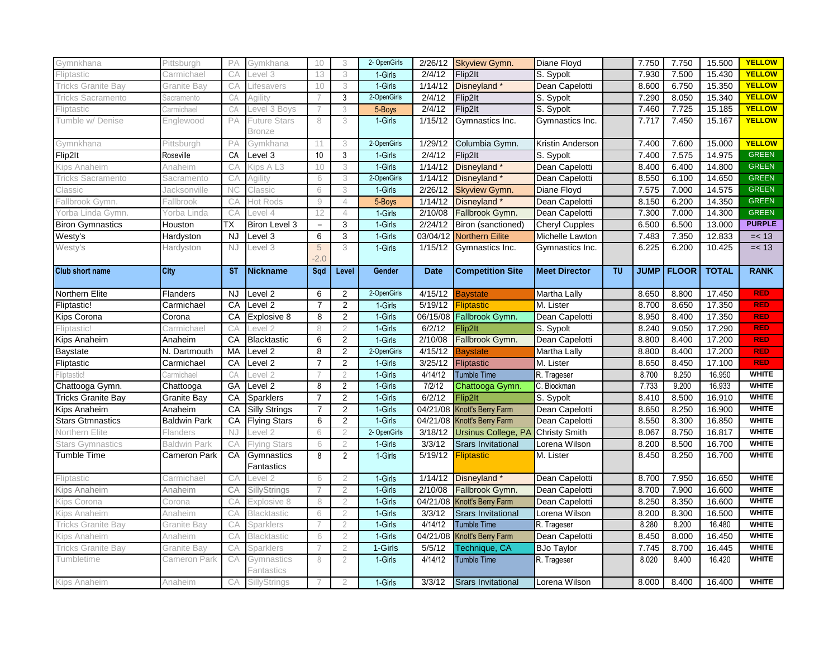| Gymnkhana                 | Pittsburgh          | PA        | Gymkhana                 | 10             | 3              | 2- OpenGirls | 2/26/12     | <b>Skyview Gymn.</b>              | Diane Floyd             |           | 7.750       | 7.750        | 15.500       | <b>YELLOW</b> |
|---------------------------|---------------------|-----------|--------------------------|----------------|----------------|--------------|-------------|-----------------------------------|-------------------------|-----------|-------------|--------------|--------------|---------------|
| Fliptastic                | Carmichael          | CA        | evel 3                   | 13             | 3              | 1-Girls      | 2/4/12      | Flip2lt                           | S. Sypolt               |           | 7.930       | 7.500        | 15.430       | <b>YELLOW</b> |
| <b>Tricks Granite Bay</b> | Granite Bay         | CA        | Lifesavers               | 10             | 3              | 1-Girls      | 1/14/12     | Disneyland*                       | Dean Capelotti          |           | 8.600       | 6.750        | 15.350       | <b>YELLOW</b> |
| <b>Tricks Sacramento</b>  | Sacramento          | CA        | Agility                  |                | 3              | 2-OpenGirls  | 2/4/12      | Flip2lt                           | S. Sypolt               |           | 7.290       | 8.050        | 15.340       | <b>YELLOW</b> |
| Fliptastic                | Carmichael          | CA        | evel 3 Boys              |                | 3              | 5-Boys       | 2/4/12      | Flip2lt                           | S. Sypolt               |           | 7.460       | 7.725        | 15.185       | <b>YELLOW</b> |
| Tumble w/ Denise          | Englewood           | PA        | Future Stars             | 8              | 3              | 1-Girls      | 1/15/12     | Gymnastics Inc.                   | Gymnastics Inc.         |           | 7.717       | 7.450        | 15.167       | <b>YELLOW</b> |
|                           |                     |           | Bronze                   |                |                |              |             |                                   |                         |           |             |              |              |               |
| Gymnkhana                 | Pittsburgh          | PA        | Gymkhana                 | 11             | 3              | 2-OpenGirls  | 1/29/12     | Columbia Gymn.                    | Kristin Anderson        |           | 7.400       | 7.600        | 15.000       | <b>YELLOW</b> |
| Flip2lt                   | Roseville           | CA        | Level 3                  | 10             | 3              | 1-Girls      | 2/4/12      | Flip2lt                           | S. Sypolt               |           | 7.400       | 7.575        | 14.975       | <b>GREEN</b>  |
| Kips Anaheim              | Anaheim             | CA        | <b>Kips A L3</b>         | 10             | 3              | 1-Girls      | 1/14/12     | Disneyland*                       | Dean Capelotti          |           | 8.400       | 6.400        | 14.800       | <b>GREEN</b>  |
| <b>Tricks Sacramento</b>  | Sacramento          | CA        | Agility                  | 6              | 3              | 2-OpenGirls  | 1/14/12     | Disneyland *                      | Dean Capelotti          |           | 8.550       | 6.100        | 14.650       | <b>GREEN</b>  |
| Classic                   | Jacksonville        | <b>NC</b> | Classic                  | 6              | 3              | 1-Girls      | 2/26/12     | <b>Skyview Gymn.</b>              | Diane Floyd             |           | 7.575       | 7.000        | 14.575       | <b>GREEN</b>  |
| Fallbrook Gymn.           | Fallbrook           | CA        | Hot Rods                 | $\emph{9}$     | $\overline{4}$ | 5-Boys       | 1/14/12     | Disneyland*                       | Dean Capelotti          |           | 8.150       | 6.200        | 14.350       | <b>GREEN</b>  |
| Yorba Linda Gymn.         | Yorba Linda         | CA        | _evel 4                  | 12             | $\overline{4}$ | 1-Girls      | 2/10/08     | Fallbrook Gymn.                   | Dean Capelotti          |           | 7.300       | 7.000        | 14.300       | <b>GREEN</b>  |
| <b>Biron Gymnastics</b>   | Houston             | ТX        | Biron Level 3            | $\equiv$       | 3              | 1-Girls      | 2/24/12     | Biron (sanctioned)                | <b>Cheryl Cupples</b>   |           | 6.500       | 6.500        | 13.000       | <b>PURPLE</b> |
| Westy's                   | Hardyston           | <b>NJ</b> | Level 3                  | 6              | 3              | 1-Girls      |             | 03/04/12 Northern Eilite          | Michelle Lawton         |           | 7.483       | 7.350        | 12.833       | $=< 13$       |
| Westy's                   | Hardyston           | <b>NJ</b> | Level 3                  | 5<br>$-2.0$    | 3              | 1-Girls      | 1/15/12     | Gymnastics Inc.                   | Gymnastics Inc.         |           | 6.225       | 6.200        | 10.425       | $=< 13$       |
| <b>Club short name</b>    | <b>City</b>         | <b>ST</b> | <b>Nickname</b>          | Sad            | Level          | Gender       | <b>Date</b> | <b>Competition Site</b>           | <b>Meet Director</b>    | <b>TU</b> | <b>JUMP</b> | <b>FLOOR</b> | <b>TOTAL</b> | <b>RANK</b>   |
|                           |                     |           |                          |                |                |              |             |                                   |                         |           |             |              |              |               |
| Northern Elite            | Flanders            | NJ.       | Level <sub>2</sub>       | 6              | $\overline{2}$ | 2-OpenGirls  | 4/15/12     | <b>Baystate</b>                   | Martha Lally            |           | 8.650       | 8.800        | 17.450       | <b>RED</b>    |
| Fliptastic!               | Carmichael          | CA        | Level 2                  | 7              | $\overline{c}$ | 1-Girls      | 5/19/12     | Fliptastic                        | M. Lister               |           | 8.700       | 8.650        | 17.350       | <b>RED</b>    |
| Kips Corona               | Corona              | CA        | Explosive 8              | 8              | 2              | 1-Girls      |             | 06/15/08 Fallbrook Gymn.          | Dean Capelotti          |           | 8.950       | 8.400        | 17.350       | <b>RED</b>    |
| Fliptastic!               | Carmichael          | СA        | _evel                    | 8              | $\overline{2}$ | 1-Girls      | 6/2/12      | Flip2It                           | S. Sypolt               |           | 8.240       | 9.050        | 17.290       | <b>RED</b>    |
| Kips Anaheim              | Anaheim             | CA        | <b>Blacktastic</b>       | 6              | $\overline{2}$ | 1-Girls      | 2/10/08     | Fallbrook Gymn.                   | Dean Capelotti          |           | 8.800       | 8.400        | 17.200       | <b>RED</b>    |
| Baystate                  | N. Dartmouth        | MA        | Level 2                  | 8              | $\overline{2}$ | 2-OpenGirls  | 4/15/12     | <b>Baystate</b>                   | Martha Lally            |           | 8.800       | 8.400        | 17.200       | <b>RED</b>    |
| Fliptastic                | Carmichael          | CA        | Level 2                  | $\overline{7}$ | $\overline{2}$ | 1-Girls      | 3/25/12     | Fliptastic                        | M. Lister               |           | 8.650       | 8.450        | 17.100       | <b>RED</b>    |
| Fliptastic!               | Carmichael          | СA        | evel 2                   |                | $\mathfrak{D}$ | 1-Girls      | 4/14/12     | <b>Tumble Time</b>                | R. Trageser             |           | 8.700       | 8.250        | 16.950       | <b>WHITE</b>  |
| Chattooga Gymn.           | Chattooga           | GA        | Level <sub>2</sub>       | 8              | 2              | 1-Girls      | 7/2/12      | Chattooga Gymn.                   | C. Biockman             |           | 7.733       | 9.200        | 16.933       | <b>WHITE</b>  |
| <b>Tricks Granite Bay</b> | Granite Bay         | CA        | Sparklers                | 7              | $\overline{2}$ | 1-Girls      | 6/2/12      | Flip2lt                           | $\overline{S}$ . Sypolt |           | 8.410       | 8.500        | 16.910       | <b>WHITE</b>  |
| Kips Anaheim              | Anaheim             | CA        | <b>Silly Strings</b>     | $\overline{7}$ | 2              | 1-Girls      |             | 04/21/08 Knott's Berry Farm       | Dean Capelotti          |           | 8.650       | 8.250        | 16.900       | <b>WHITE</b>  |
| <b>Stars Gtmnastics</b>   | Baldwin Park        | CA        | <b>Flying Stars</b>      | 6              | 2              | 1-Girls      |             | 04/21/08 Knott's Berry Farm       | Dean Capelotti          |           | 8.550       | 8.300        | 16.850       | <b>WHITE</b>  |
| Northern Elite            | Flanders            | NJ        | _evel 2                  | 6              | $\overline{2}$ | 2- OpenGirls | 3/18/12     | Ursinus College, PA Christy Smith |                         |           | 8.067       | 8.750        | 16.817       | <b>WHITE</b>  |
| <b>Stars Gymnastics</b>   | <b>Baldwin Park</b> | CA        | <b>Flying Stars</b>      | 6              | $\overline{2}$ | 1-Girls      | 3/3/12      | <b>Srars Invitational</b>         | Lorena Wilson           |           | 8.200       | 8.500        | 16.700       | <b>WHITE</b>  |
| <b>Tumble Time</b>        | Cameron Park        | CA        | Gymnastics               | 8              | 2              | 1-Girls      | 5/19/12     | Fliptastic                        | M. Lister               |           | 8.450       | 8.250        | 16.700       | <b>WHITE</b>  |
|                           |                     |           | Fantastics               |                |                |              |             |                                   |                         |           |             |              |              |               |
| Fliptastic                | Carmichael          | CA        | _evel 2                  | 6              | 2              | 1-Girls      | 1/14/12     | Disneyland <sup>*</sup>           | Dean Capelotti          |           | 8.700       | 7.950        | 16.650       | <b>WHITE</b>  |
| Kips Anaheim              | Anaheim             | CA        | SillyStrings             |                | $\overline{2}$ | 1-Girls      | 2/10/08     | Fallbrook Gymn.                   | Dean Capelotti          |           | 8.700       | 7.900        | 16.600       | <b>WHITE</b>  |
| Kips Corona               | Corona              | CА        | Explosive 8              | 8              | $\mathbf{2}$   | 1-Girls      | 04/21/08    | <b>Knott's Berry Farm</b>         | Dean Capelotti          |           | 8.250       | 8.350        | 16.600       | <b>WHITE</b>  |
| Kips Anaheim              | Anaheim             | CA        | Blacktastic              | 6              | $\overline{2}$ | 1-Girls      | 3/3/12      | <b>Srars Invitational</b>         | Lorena Wilson           |           | 8.200       | 8.300        | 16.500       | <b>WHITE</b>  |
| <b>Tricks Granite Bay</b> | Granite Bay         | CA        | Sparklers                |                | $\overline{2}$ | 1-Girls      | 4/14/12     | <b>Tumble Time</b>                | R. Trageser             |           | 8.280       | 8.200        | 16.480       | <b>WHITE</b>  |
| Kips Anaheim              | Anaheim             | CA        | Blacktastic              | 6              | $\overline{2}$ | 1-Girls      | 04/21/08    | Knott's Berry Farm                | Dean Capelotti          |           | 8.450       | 8.000        | 16.450       | <b>WHITE</b>  |
| Tricks Granite Bay        | Granite Bay         | CA        | Sparklers                |                | $\overline{2}$ | 1-Girls      | 5/5/12      | Technique, CA                     | <b>BJo Taylor</b>       |           | 7.745       | 8.700        | 16.445       | <b>WHITE</b>  |
| Tumbletime                | Cameron Park        | CA        | Gymnastics<br>Fantastics | 8              | $\overline{2}$ | 1-Girls      | 4/14/12     | <b>Tumble Time</b>                | R. Trageser             |           | 8.020       | 8.400        | 16.420       | <b>WHITE</b>  |
| Kips Anaheim              | Anaheim             | CА        | <b>SillyStrings</b>      |                | $\mathcal{P}$  | 1-Girls      | 3/3/12      | <b>Srars Invitational</b>         | Lorena Wilson           |           | 8.000       | 8.400        | 16.400       | <b>WHITE</b>  |
|                           |                     |           |                          |                |                |              |             |                                   |                         |           |             |              |              |               |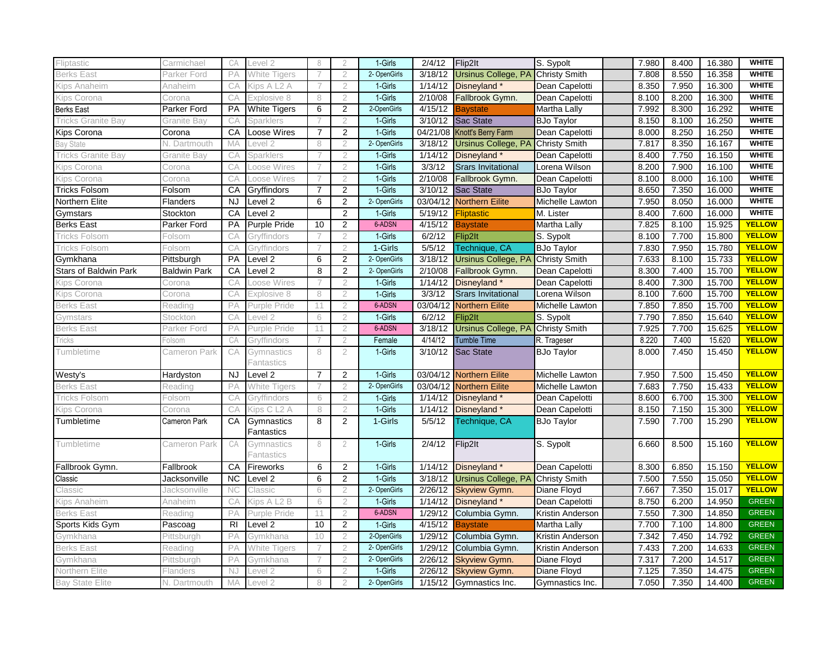| Fliptastic                   | Carmichael          | CA        | Level 2                              | 8              | 2              | 1-Girls      | 2/4/12   | Flip2lt                                  | S. Sypolt            | 7.980 | 8.400 | 16.380 | <b>WHITE</b>  |
|------------------------------|---------------------|-----------|--------------------------------------|----------------|----------------|--------------|----------|------------------------------------------|----------------------|-------|-------|--------|---------------|
| Berks East                   | Parker Ford         | PA        | White Tigers                         | 7              | $\overline{2}$ | 2- OpenGirls | 3/18/12  | <b>Ursinus College, PA</b>               | <b>Christy Smith</b> | 7.808 | 8.550 | 16.358 | <b>WHITE</b>  |
| Kips Anaheim                 | Anaheim             | CA        | Kips A<br>L2A                        |                | 2              | 1-Girls      | 1/14/12  | Disneyland *                             | Dean Capelotti       | 8.350 | 7.950 | 16.300 | <b>WHITE</b>  |
| Kips Corona                  | Corona              | CA        | Explosive 8                          | 8              | $\overline{2}$ | 1-Girls      | 2/10/08  | Fallbrook Gymn.                          | Dean Capelotti       | 8.100 | 8.200 | 16.300 | <b>WHITE</b>  |
| <b>Berks East</b>            | Parker Ford         | <b>PA</b> | <b>White Tigers</b>                  | 6              | $\overline{2}$ | 2-OpenGirls  | 4/15/12  | <b>Baystate</b>                          | Martha Lally         | 7.992 | 8.300 | 16.292 | <b>WHITE</b>  |
| <b>Tricks Granite Bay</b>    | Granite Bav         | CА        | Sparklers                            |                | $\overline{2}$ | 1-Girls      |          | 3/10/12 Sac State                        | <b>BJo Taylor</b>    | 8.150 | 8.100 | 16.250 | <b>WHITE</b>  |
| <b>Kips Corona</b>           | Corona              | CA        | <b>Loose Wires</b>                   | $\overline{7}$ | 2              | 1-Girls      |          | 04/21/08 Knott's Berry Farm              | Dean Capelotti       | 8.000 | 8.250 | 16.250 | <b>WHITE</b>  |
| <b>Bay State</b>             | N. Dartmouth        | MA        | Level 2                              | 8              | $\overline{2}$ | 2- OpenGirls | 3/18/12  | Ursinus College, PA Christy Smith        |                      | 7.817 | 8.350 | 16.167 | <b>WHITE</b>  |
| Tricks Granite Bay           | Granite Bay         | CA        | Sparklers                            |                | $\overline{2}$ | 1-Girls      | 1/14/12  | Disneyland*                              | Dean Capelotti       | 8.400 | 7.750 | 16.150 | <b>WHITE</b>  |
| Kips Corona                  | Corona              | СA        | Loose Wires                          |                | $\overline{2}$ | 1-Girls      | 3/3/12   | <b>Srars Invitational</b>                | Lorena Wilson        | 8.200 | 7.900 | 16.100 | <b>WHITE</b>  |
| Kips Corona                  | Corona              | CA        | Loose Wires                          |                | $\mathcal{P}$  | 1-Girls      | 2/10/08  | Fallbrook Gymn.                          | Dean Capelotti       | 8.100 | 8.000 | 16.100 | <b>WHITE</b>  |
| <b>Tricks Folsom</b>         | Folsom              | CA        | Gryffindors                          | $\overline{7}$ | 2              | 1-Girls      | 3/10/12  | <b>Sac State</b>                         | <b>BJo Taylor</b>    | 8.650 | 7.350 | 16.000 | <b>WHITE</b>  |
| Northern Elite               | Flanders            | <b>NJ</b> | Level 2                              | 6              | $\overline{2}$ | 2- OpenGirls | 03/04/12 | <b>Northern Eilite</b>                   | Michelle Lawton      | 7.950 | 8.050 | 16.000 | <b>WHITE</b>  |
| Gymstars                     | Stockton            | CA        | Level <sub>2</sub>                   |                | 2              | 1-Girls      | 5/19/12  | <b>Fliptastic</b>                        | M. Lister            | 8.400 | 7.600 | 16.000 | <b>WHITE</b>  |
| <b>Berks East</b>            | Parker Ford         | PA        | Purple Pride                         | 10             | 2              | 6-ADSN       | 4/15/12  | <b>Baystate</b>                          | Martha Lally         | 7.825 | 8.100 | 15.925 | <b>YELLOW</b> |
| Tricks Folsom                | Folsom              | СA        | Gryffindors                          |                | 2              | 1-Girls      | 6/2/12   | Flip2It                                  | S. Sypolt            | 8.100 | 7.700 | 15.800 | <b>YELLOW</b> |
| Tricks Folsom                | Folsom              | CA        | Gryffindors                          |                | $\overline{2}$ | 1-Girls      | 5/5/12   | Technique, CA                            | <b>BJo Taylor</b>    | 7.830 | 7.950 | 15.780 | <b>YELLOW</b> |
| Gymkhana                     | Pittsburgh          | PA        | Level 2                              | 6              | 2              | 2- OpenGirls | 3/18/12  | <b>Ursinus College, PA Christy Smith</b> |                      | 7.633 | 8.100 | 15.733 | <b>YELLOW</b> |
| <b>Stars of Baldwin Park</b> | <b>Baldwin Park</b> | CA        | Level <sub>2</sub>                   | 8              | 2              | 2- OpenGirls | 2/10/08  | Fallbrook Gymn.                          | Dean Capelotti       | 8.300 | 7.400 | 15.700 | <b>YELLOW</b> |
| Kips Corona                  | Corona              | CA        | Loose Wires                          |                | $\overline{2}$ | 1-Girls      | 1/14/12  | Disneyland*                              | Dean Capelotti       | 8.400 | 7.300 | 15.700 | <b>YELLOW</b> |
| Kips Corona                  | Corona              | CA        | Explosive 8                          | 8              | $\mathcal{P}$  | 1-Girls      | 3/3/12   | <b>Srars Invitational</b>                | Lorena Wilson        | 8.100 | 7.600 | 15.700 | <b>YELLOW</b> |
| Berks East                   | Reading             | РA        | Purple Pride                         | 11             | $\overline{2}$ | 6-ADSN       | 03/04/12 | <b>Northern Eilite</b>                   | Michelle Lawton      | 7.850 | 7.850 | 15.700 | <b>YELLOW</b> |
| Gymstars                     | Stockton            | CA        | evel 2                               | 6              | $\overline{2}$ | 1-Girls      | 6/2/12   | Flip2lt                                  | S. Sypolt            | 7.790 | 7.850 | 15.640 | <b>YELLOW</b> |
| <b>Berks East</b>            | Parker Ford         | PA        | Purple Pride                         | 11             | 2              | 6-ADSN       | 3/18/12  | Ursinus College, PA Christy Smith        |                      | 7.925 | 7.700 | 15.625 | <b>YELLOW</b> |
| <b>Tricks</b>                | olsom <sup>.</sup>  | CA        | Grvffindors                          |                | $\mathfrak{D}$ | Female       | 4/14/12  | <b>Tumble Time</b>                       | R. Trageser          | 8.220 | 7.400 | 15.620 | <b>YELLOW</b> |
| Tumbletime                   | Cameron Park        | CA        | Gymnastics<br><sup>=</sup> antastics | 8              | $\overline{2}$ | 1-Girls      | 3/10/12  | Sac State                                | <b>BJo Taylor</b>    | 8.000 | 7.450 | 15.450 | <b>YELLOW</b> |
| Westy's                      | Hardyston           | NJ.       | Level 2                              | $\overline{7}$ | 2              | 1-Girls      | 03/04/12 | <b>Northern Eilite</b>                   | Michelle Lawton      | 7.950 | 7.500 | 15.450 | <b>YELLOW</b> |
| <b>Berks East</b>            | Reading             | PA        | White Tigers                         |                | $\overline{2}$ | 2- OpenGirls | 03/04/12 | Northern Eilite                          | Michelle Lawton      | 7.683 | 7.750 | 15.433 | <b>YELLOW</b> |
| Tricks Folsom                | Folsom              | CA        | Gryffindors                          | 6              | $\overline{2}$ | 1-Girls      | 1/14/12  | Disneyland *                             | Dean Capelotti       | 8.600 | 6.700 | 15.300 | <b>YELLOW</b> |
| Kips Corona                  | Corona              | CA        | Sips C L <sub>2</sub> A              | 8              | $\overline{2}$ | 1-Girls      | 1/14/12  | Disneyland *                             | Dean Capelotti       | 8.150 | 7.150 | 15.300 | <b>YELLOW</b> |
| Tumbletime                   | Cameron Park        | CA        | Gymnastics<br>Fantastics             | 8              | $\overline{2}$ | 1-Girls      | 5/5/12   | Technique, CA                            | <b>BJo Taylor</b>    | 7.590 | 7.700 | 15.290 | <b>YELLOW</b> |
| Tumbletime                   | Cameron Park        | CA        | Gymnastics<br>Fantastics             | 8              | $\overline{2}$ | 1-Girls      | 2/4/12   | Flip2lt                                  | S. Sypolt            | 6.660 | 8.500 | 15.160 | <b>YELLOW</b> |
| Fallbrook Gymn.              | Fallbrook           | CA        | Fireworks                            | 6              | 2              | 1-Girls      | 1/14/12  | Disneyland *                             | Dean Capelotti       | 8.300 | 6.850 | 15.150 | <b>YELLOW</b> |
| Classic                      | Jacksonville        | <b>NC</b> | Level 2                              | 6              | $\overline{2}$ | 1-Girls      | 3/18/12  | <b>Ursinus College, PA Christy Smith</b> |                      | 7.500 | 7.550 | 15.050 | <b>YELLOW</b> |
| Classic                      | Jacksonville        | NC        | Classic                              | 6              | $\overline{2}$ | 2- OpenGirls | 2/26/12  | <b>Skyview Gymn.</b>                     | Diane Floyd          | 7.667 | 7.350 | 15.017 | <b>YELLOW</b> |
| Kips Anaheim                 | Anaheim             | CА        | Kips A L2 B                          | 6              | $\overline{2}$ | 1-Girls      | 1/14/12  | Disneyland*                              | Dean Capelotti       | 8.750 | 6.200 | 14.950 | <b>GREEN</b>  |
| <b>Berks East</b>            | Reading             | PA        | Purple Pride                         | 11             | 2              | 6-ADSN       | 1/29/12  | Columbia Gymn.                           | Kristin Anderson     | 7.550 | 7.300 | 14.850 | <b>GREEN</b>  |
| Sports Kids Gym              | Pascoag             | <b>RI</b> | Level <sub>2</sub>                   | 10             | $\overline{2}$ | 1-Girls      | 4/15/12  | <b>Baystate</b>                          | Martha Lally         | 7.700 | 7.100 | 14.800 | <b>GREEN</b>  |
| Gymkhana                     | Pittsburgh          | РA        | Gymkhana                             | 10             | $\overline{2}$ | 2-OpenGirls  | 1/29/12  | Columbia Gymn.                           | Kristin Anderson     | 7.342 | 7.450 | 14.792 | <b>GREEN</b>  |
| <b>Berks East</b>            | Reading             | PA        | White Tigers                         |                | $\overline{2}$ | 2- OpenGirls | 1/29/12  | Columbia Gymn.                           | Kristin Anderson     | 7.433 | 7.200 | 14.633 | <b>GREEN</b>  |
| Gymkhana                     | Pittsburgh          | PA        | Gymkhana                             |                | $\overline{2}$ | 2- OpenGirls | 2/26/12  | <b>Skyview Gymn.</b>                     | Diane Floyd          | 7.317 | 7.200 | 14.517 | <b>GREEN</b>  |
| Northern Elite               | Flanders            | <b>NJ</b> | Level 2                              | 6              | $\overline{2}$ | 1-Girls      | 2/26/12  | <b>Skyview Gymn.</b>                     | Diane Floyd          | 7.125 | 7.350 | 14.475 | <b>GREEN</b>  |
| <b>Bay State Elite</b>       | N. Dartmouth        | MA        | Level <sub>2</sub>                   | 8              | $\overline{2}$ | 2- OpenGirls |          | 1/15/12 Gymnastics Inc.                  | Gymnastics Inc.      | 7.050 | 7.350 | 14.400 | <b>GREEN</b>  |
|                              |                     |           |                                      |                |                |              |          |                                          |                      |       |       |        |               |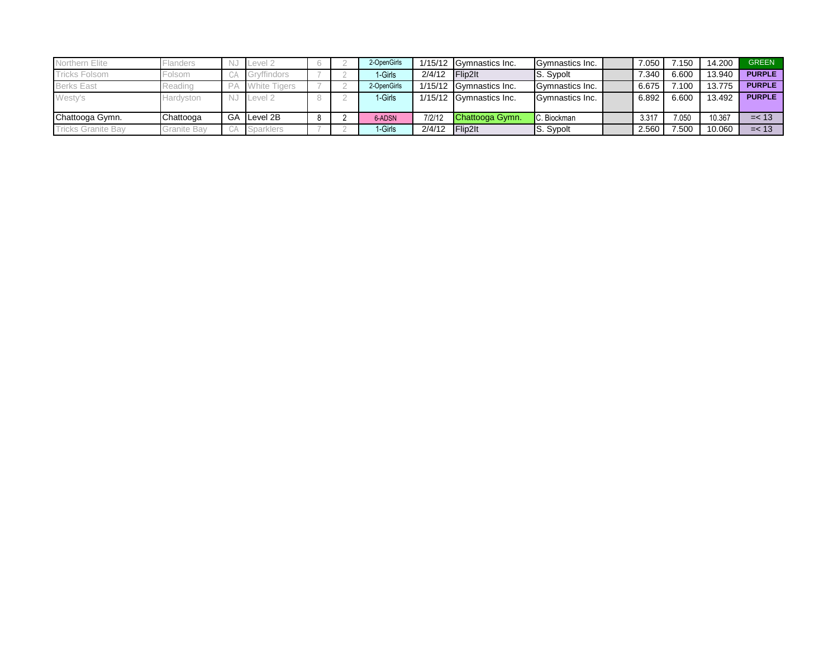| Northern Elite            | Flanders           |    | Level 2             |  | 2-OpenGirls |        | 1/15/12 Gymnastics Inc. | Gymnastics Inc.        | 7.050 | 7.150 | 14.200 | <b>GREEN</b>  |
|---------------------------|--------------------|----|---------------------|--|-------------|--------|-------------------------|------------------------|-------|-------|--------|---------------|
| <b>Tricks Folsom</b>      | Folsom             | UA | vffindors           |  | 1-Girls     | 2/4/12 | $F$ lip2lt              | <b>IS.</b> Sypolt      | 7.340 | 6.600 | 13.940 | <b>PURPLE</b> |
| <b>Berks East</b>         | Reading            |    | <b>White Tigers</b> |  | 2-OpenGirls |        | 1/15/12 Gymnastics Inc. | <b>Cymnastics Inc.</b> | 6.675 | 7.100 | 13.775 | <b>PURPLE</b> |
| Westy's                   | Hardyston          | N. | Level 2             |  | 1-Girls     |        | 1/15/12 Gymnastics Inc. | <b>Cymnastics Inc.</b> | 6.892 | 6.600 | 13.492 | <b>PURPLE</b> |
|                           |                    |    |                     |  |             |        |                         |                        |       |       |        |               |
| Chattooga Gymn.           | Chattooga          | GA | Level 2B            |  | 6-ADSN      | 7/2/12 | Chattooga Gymn.         | . Biockman             | 3.317 | 7.050 | 10.367 | $=< 13$       |
| <b>Tricks Granite Bay</b> | <b>Granite Bay</b> |    | <b>Sparklers</b>    |  | 1-Girls     | 2/4/12 | Flip2lt                 | S. Sypolt              | 2.560 | 7.500 | 10.060 | $=< 13$       |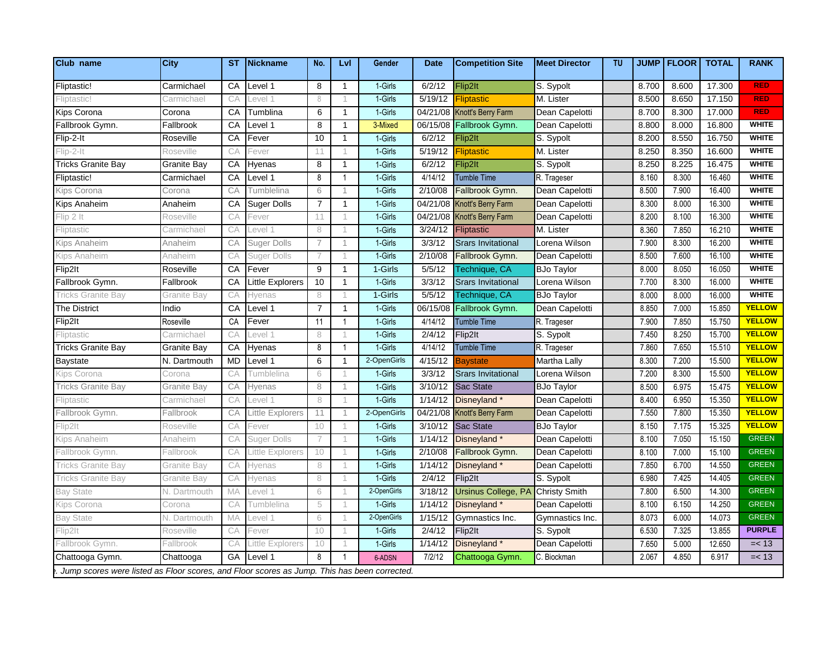| Club name                  | <b>City</b>        | <b>ST</b> | Nickname                    | No.            | Lvl          | Gender      | <b>Date</b>     | <b>Competition Site</b>     | <b>Meet Director</b> | <b>TU</b> |       | <b>JUMP FLOOR</b> | <b>TOTAL</b> | <b>RANK</b>   |
|----------------------------|--------------------|-----------|-----------------------------|----------------|--------------|-------------|-----------------|-----------------------------|----------------------|-----------|-------|-------------------|--------------|---------------|
| Fliptastic!                | Carmichael         | СA        | Level 1                     | 8              | -1           | 1-Girls     | 6/2/12          | Flip2lt                     | S. Sypolt            |           | 8.700 | 8.600             | 17.300       | <b>RED</b>    |
| liptastic!                 | Carmichael         | CА        | evel 1.                     | 8              |              | 1-Girls     | 5/19/12         | iptastic                    | M. Lister            |           | 8.500 | 8.650             | 17.150       | <b>RED</b>    |
| Kips Corona                | Corona             | CA        | Tumblina                    | 6              | $\mathbf{1}$ | 1-Girls     |                 | 04/21/08 Knott's Berry Farm | Dean Capelotti       |           | 8.700 | 8.300             | 17.000       | <b>RED</b>    |
| Fallbrook Gymn.            | Fallbrook          | CA        | Level 1                     | 8              | $\mathbf{1}$ | 3-Mixed     | 06/15/08        | Fallbrook Gymn.             | Dean Capelotti       |           | 8.800 | 8.000             | 16.800       | <b>WHITE</b>  |
| Flip-2-It                  | Roseville          | CA        | Fever                       | 10             | -1           | 1-Girls     | 6/2/12          | Flip2lt                     | S. Sypolt            |           | 8.200 | 8.550             | 16.750       | <b>WHITE</b>  |
| $lip-2-lt$                 | Roseville          | CА        | Fever                       | 11             |              | 1-Girls     | 5/19/12         | liptastic                   | M. Lister            |           | 8.250 | 8.350             | 16.600       | <b>WHITE</b>  |
| Fricks Granite Bay         | Granite Bay        | CA        | Hyenas                      | 8              |              | 1-Girls     | 6/2/12          | ip2lt                       | S. Sypolt            |           | 8.250 | 8.225             | 16.475       | <b>WHITE</b>  |
| Fliptastic!                | Carmichael         | CA        | Level 1                     | 8              |              | 1-Girls     | 4/14/12         | <b>Tumble Time</b>          | R. Trageser          |           | 8.160 | 8.300             | 16.460       | <b>WHITE</b>  |
| ips Corona                 | Corona             | CA        | <b>Tumblelina</b>           | 6              |              | 1-Girls     | 2/10/08         | Fallbrook Gymn.             | Dean Capelotti       |           | 8.500 | 7.900             | 16.400       | <b>WHITE</b>  |
| Kips Anaheim               | Anaheim            | CA        | <b>Suger Dolls</b>          | $\overline{7}$ | $\mathbf{1}$ | 1-Girls     | 04/21/08        | Knott's Berry Farm          | Dean Capelotti       |           | 8.300 | 8.000             | 16.300       | <b>WHITE</b>  |
| lip 2 It                   | Roseville          | CA        | Fever                       | 11.            |              | 1-Girls     |                 | 04/21/08 Knott's Berry Farm | Dean Capelotti       |           | 8.200 | 8.100             | 16.300       | <b>WHITE</b>  |
| liptastic                  | Carmichae          | CA        | evel 1                      | 8              |              | 1-Girls     | 3/24/12         | Fliptastic                  | M. Lister            |           | 8.360 | 7.850             | 16.210       | <b>WHITE</b>  |
| Kips Anaheim               | Anaheim            | CA        | Suger Dolls                 |                |              | 1-Girls     | 3/3/12          | <b>Srars Invitational</b>   | Lorena Wilson        |           | 7.900 | 8.300             | 16.200       | <b>WHITE</b>  |
| Gips Anaheim               | Anaheim            | CA        | Suger Dolls                 |                |              | 1-Girls     | 2/10/08         | Fallbrook Gymn.             | Dean Capelotti       |           | 8.500 | 7.600             | 16.100       | <b>WHITE</b>  |
| Flip2lt                    | Roseville          | CA        | Fever                       | 9              |              | 1-Girls     | 5/5/12          | echnique, CA                | BJo Taylor           |           | 8.000 | 8.050             | 16.050       | <b>WHITE</b>  |
| Fallbrook Gymn.            | Fallbrook          | CA        | Little Explorers            | 10             |              | 1-Girls     | 3/3/12          | <b>Srars Invitational</b>   | Lorena Wilson        |           | 7.700 | 8.300             | 16.000       | <b>WHITE</b>  |
| ricks Granite Bay          | Granite Bay        | CA        | Hyenas                      | 8              |              | 1-Girls     | 5/5/12          | echnique, CA                | <b>BJo Taylor</b>    |           | 8.000 | 8.000             | 16.000       | <b>WHITE</b>  |
| <b>The District</b>        | Indio              | CA        | Level 1                     | $\overline{7}$ | $\mathbf{1}$ | 1-Girls     | 06/15/08        | Fallbrook Gymn.             | Dean Capelotti       |           | 8.850 | 7.000             | 15.850       | <b>YELLOW</b> |
| Flip2lt                    | Roseville          | CA        | Fever                       | 11             |              | 1-Girls     | 4/14/12         | <b>Tumble Time</b>          | R. Trageser          |           | 7.900 | 7.850             | 15.750       | <b>YELLOW</b> |
| iptastic                   | ≿armichael         | C A       | evel 1.                     | 8              |              | 1-Girls     | 2/4/12          | Flip2lt                     | S. Sypolt            |           | 7.450 | 8.250             | 15.700       | <b>YELLOW</b> |
| <b>Tricks Granite Bay</b>  | <b>Granite Bay</b> | CA        | Hyenas                      | 8              |              | 1-Girls     | 4/14/12         | Tumble Time                 | R. Trageser          |           | 7.860 | 7.650             | 15.510       | <b>YELLOW</b> |
| Baystate                   | N. Dartmouth       | MD        | Level 1                     | 6              |              | 2-OpenGirls | 4/15/12         | <b>Baystate</b>             | Martha Lally         |           | 8.300 | 7.200             | 15.500       | <b>YELLOW</b> |
| ips Corona                 | Corona             | C A       | <b>Tumblelina</b>           | 6              |              | 1-Girls     | 3/3/12          | <b>Srars Invitational</b>   | Lorena Wilson        |           | 7.200 | 8.300             | 15.500       | <b>YELLOW</b> |
| ricks Granite Bay          | Granite Bay        | CA        | Hyenas                      | 8              |              | 1-Girls     | 3/10/12         | <b>Sac State</b>            | <b>BJo Taylor</b>    |           | 8.500 | 6.975             | 15.475       | <b>YELLOW</b> |
| liptastic                  | Carmichael         | CA        | _evel :                     | 8              |              | 1-Girls     | 1/14/12         | Disneyland*                 | Dean Capelotti       |           | 8.400 | 6.950             | 15.350       | <b>YELLOW</b> |
| Fallbrook Gymn.            | Fallbrook          | CA        | Little Explorers            | 11             |              | 2-OpenGir   |                 | 04/21/08 Knott's Berry Farm | Dean Capelotti       |           | 7.550 | 7.800             | 15.350       | <b>YELLOW</b> |
| lip2lt                     | Roseville          | CA        | Fever                       | 10             |              | 1-Girls     | 3/10/12         | <b>Sac State</b>            | <b>BJo Taylor</b>    |           | 8.150 | 7.175             | 15.325       | <b>YELLOW</b> |
| ips Anaheim                | Anaheim            | CА        | Suger Dolls                 |                |              | 1-Girls     | 1/14/12         | Disneyland*                 | Dean Capelotti       |           | 8.100 | 7.050             | 15.150       | <b>GREEN</b>  |
| allbrook Gymn <del>.</del> | Fallbrook          | CА        | ittle Explorers             | 10             |              | 1-Girls     | 2/10/08         | Fallbrook Gymn.             | Dean Capelotti       |           | 8.100 | 7.000             | 15.100       | <b>GREEN</b>  |
| ricks Granite Bay          | Granite Bay        | CA        | Hyenas                      | 8              |              | 1-Girls     | 1/14/12         | Disneyland*                 | Dean Capelotti       |           | 7.850 | 6.700             | 14.550       | <b>GREEN</b>  |
| ricks Granite Bay          | Granite Bay        | C A       | <i><u><b>Hyenas</b></u></i> | 8              |              | 1-Girls     | $\sqrt{2}/4/12$ | Flip2It                     | S. Sypolt            |           | 6.980 | 7.425             | 14.405       | <b>GREEN</b>  |
| ay State                   | I. Dartmouth       | MA        | evel '                      | 6              |              | 2-OpenGirls | 3/18/12         | <b>Ursinus College, PA</b>  | Christy Smith        |           | 7.800 | 6.500             | 14.300       | <b>GREEN</b>  |
| ips Corona                 | crona;             | CA        | umblelina                   | 5              |              | 1-Girls     | 1/14/12         | Disneyland*                 | Dean Capelotti       |           | 8.100 | 6.150             | 14.250       | <b>GREEN</b>  |
| <b>Bay State</b>           | J. Dartmouth       | MA        | evel 1                      | 6              |              | 2-OpenGirls | 1/15/12         | Gymnastics Inc.             | Gymnastics Inc.      |           | 8.073 | 6.000             | 14.073       | <b>GREEN</b>  |
| lip2lt                     | रेoseville         | CA        | Fever                       | 10             |              | 1-Girls     | 2/4/12          | Flip2It                     | S. Sypolt            |           | 6.530 | 7.325             | 13.855       | <b>PURPLE</b> |
| allbrook Gymn.             | Fallbrook          | CА        | Little Explorers            | 10             |              | 1-Girls     | 1/14/12         | Disneyland*                 | Dean Capelotti       |           | 7.650 | 5.000             | 12.650       | $=< 13$       |
| Chattooga Gymn.            | Chattooga          | GA        | Level 1                     | 8              |              | 6-ADSN      | 7/2/12          | Chattooga Gymn.             | C. Biockman          |           | 2.067 | 4.850             | 6.917        | $=< 13$       |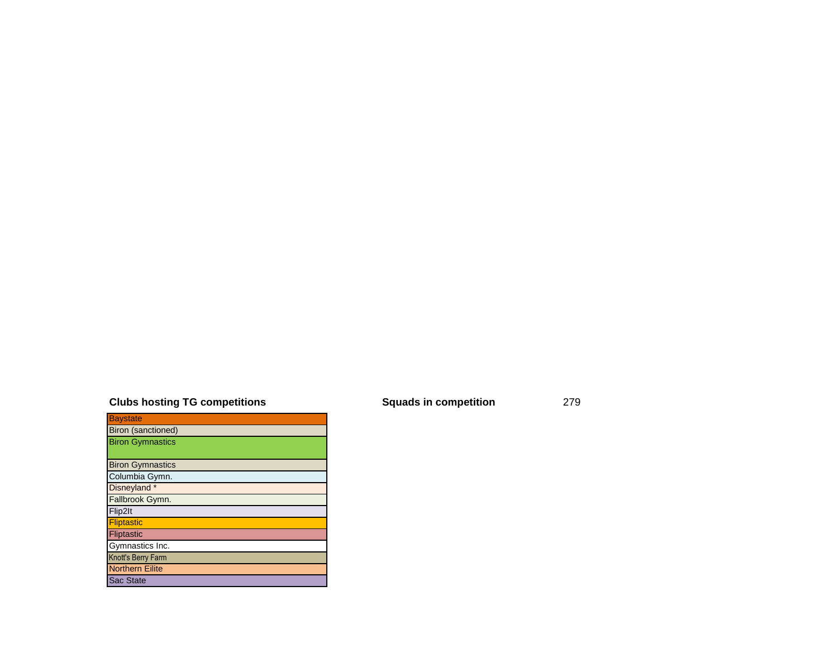### **Clubs hosting TG competitions Squads in competition** 279

| <b>Baystate</b>           |
|---------------------------|
| <b>Biron (sanctioned)</b> |
| <b>Biron Gymnastics</b>   |
|                           |
| <b>Biron Gymnastics</b>   |
| Columbia Gymn.            |
| Disneyland *              |
| Fallbrook Gymn.           |
| Flip2lt                   |
| <b>Fliptastic</b>         |
| <b>Fliptastic</b>         |
| Gymnastics Inc.           |
| Knott's Berry Farm        |
| <b>Northern Eilite</b>    |
| <b>Sac State</b>          |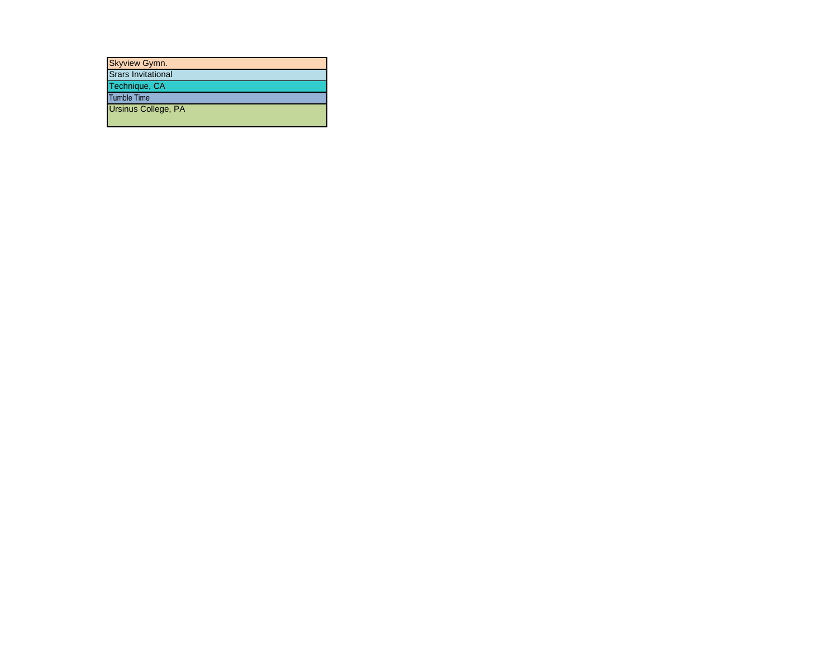| <b>Skyview Gymn.</b>      |
|---------------------------|
| <b>Srars Invitational</b> |
| Technique, CA             |
| <b>Tumble Time</b>        |
| Ursinus College, PA       |
|                           |